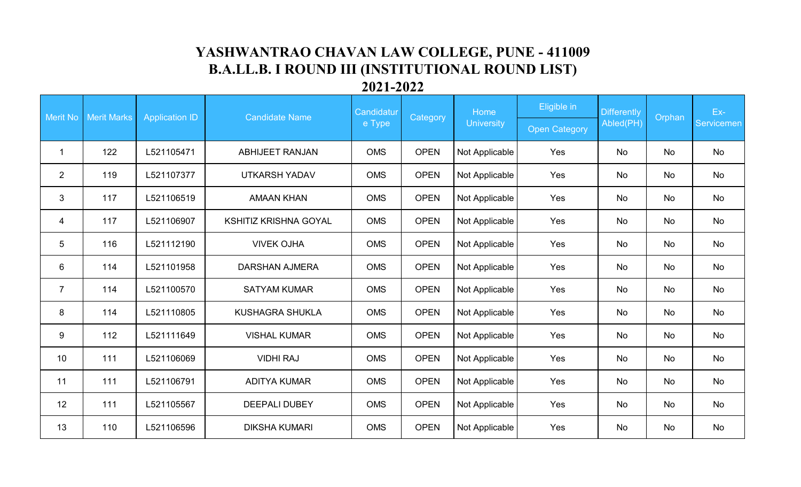## **YASHWANTRAO CHAVAN LAW COLLEGE, PUNE - 411009 B.A.LL.B. I ROUND III (INSTITUTIONAL ROUND LIST)**

## **2021-2022**

| Merit No       | <b>Merit Marks</b><br><b>Application ID</b> |            | <b>Candidate Name</b>        | Candidatur |             | Home              | Eligible in          | <b>Differently</b> | Orphan | Ex-               |
|----------------|---------------------------------------------|------------|------------------------------|------------|-------------|-------------------|----------------------|--------------------|--------|-------------------|
|                |                                             |            |                              | e Type     | Category    | <b>University</b> | <b>Open Category</b> | Abled(PH)          |        | <b>Servicemen</b> |
| -1             | 122                                         | L521105471 | <b>ABHIJEET RANJAN</b>       | <b>OMS</b> | <b>OPEN</b> | Not Applicable    | Yes                  | No                 | No     | No                |
| $\overline{2}$ | 119                                         | L521107377 | <b>UTKARSH YADAV</b>         | <b>OMS</b> | <b>OPEN</b> | Not Applicable    | Yes                  | <b>No</b>          | No     | No                |
| 3              | 117                                         | L521106519 | <b>AMAAN KHAN</b>            | <b>OMS</b> | <b>OPEN</b> | Not Applicable    | Yes                  | No                 | No     | No                |
| 4              | 117                                         | L521106907 | <b>KSHITIZ KRISHNA GOYAL</b> | <b>OMS</b> | <b>OPEN</b> | Not Applicable    | Yes                  | No                 | No     | No                |
| 5              | 116                                         | L521112190 | <b>VIVEK OJHA</b>            | <b>OMS</b> | <b>OPEN</b> | Not Applicable    | Yes                  | <b>No</b>          | No     | No                |
| 6              | 114                                         | L521101958 | <b>DARSHAN AJMERA</b>        | <b>OMS</b> | <b>OPEN</b> | Not Applicable    | Yes                  | No                 | No     | No                |
| $\overline{7}$ | 114                                         | L521100570 | <b>SATYAM KUMAR</b>          | <b>OMS</b> | <b>OPEN</b> | Not Applicable    | Yes                  | No                 | No     | No                |
| 8              | 114                                         | L521110805 | <b>KUSHAGRA SHUKLA</b>       | <b>OMS</b> | <b>OPEN</b> | Not Applicable    | Yes                  | <b>No</b>          | No     | No                |
| 9              | 112                                         | L521111649 | <b>VISHAL KUMAR</b>          | <b>OMS</b> | <b>OPEN</b> | Not Applicable    | Yes                  | No                 | No     | No                |
| 10             | 111                                         | L521106069 | <b>VIDHI RAJ</b>             | <b>OMS</b> | <b>OPEN</b> | Not Applicable    | Yes                  | <b>No</b>          | No     | No                |
| 11             | 111                                         | L521106791 | <b>ADITYA KUMAR</b>          | <b>OMS</b> | <b>OPEN</b> | Not Applicable    | Yes                  | <b>No</b>          | No     | No                |
| 12             | 111                                         | L521105567 | <b>DEEPALI DUBEY</b>         | <b>OMS</b> | <b>OPEN</b> | Not Applicable    | Yes                  | <b>No</b>          | No     | No                |
| 13             | 110                                         | L521106596 | <b>DIKSHA KUMARI</b>         | <b>OMS</b> | <b>OPEN</b> | Not Applicable    | Yes                  | <b>No</b>          | No     | No                |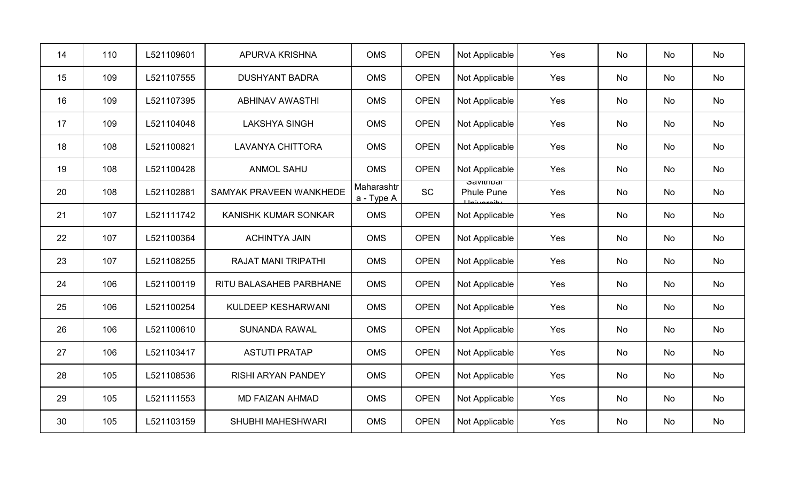| 14 | 110 | L521109601 | <b>APURVA KRISHNA</b>          | <b>OMS</b>               | <b>OPEN</b> | Not Applicable                                  | Yes | No        | No        | No        |
|----|-----|------------|--------------------------------|--------------------------|-------------|-------------------------------------------------|-----|-----------|-----------|-----------|
| 15 | 109 | L521107555 | <b>DUSHYANT BADRA</b>          | <b>OMS</b>               | <b>OPEN</b> | Not Applicable                                  | Yes | No        | No        | No        |
| 16 | 109 | L521107395 | <b>ABHINAV AWASTHI</b>         | <b>OMS</b>               | <b>OPEN</b> | Not Applicable                                  | Yes | No        | No        | No        |
| 17 | 109 | L521104048 | <b>LAKSHYA SINGH</b>           | <b>OMS</b>               | <b>OPEN</b> | Not Applicable                                  | Yes | No        | <b>No</b> | <b>No</b> |
| 18 | 108 | L521100821 | <b>LAVANYA CHITTORA</b>        | <b>OMS</b>               | <b>OPEN</b> | Not Applicable                                  | Yes | <b>No</b> | <b>No</b> | No        |
| 19 | 108 | L521100428 | <b>ANMOL SAHU</b>              | <b>OMS</b>               | <b>OPEN</b> | Not Applicable                                  | Yes | <b>No</b> | No        | No        |
| 20 | 108 | L521102881 | <b>SAMYAK PRAVEEN WANKHEDE</b> | Maharashtr<br>a - Type A | <b>SC</b>   | oavitiitudi<br><b>Phule Pune</b><br>Llohroroity | Yes | No        | No        | No        |
| 21 | 107 | L521111742 | KANISHK KUMAR SONKAR           | <b>OMS</b>               | <b>OPEN</b> | Not Applicable                                  | Yes | No        | No        | No        |
| 22 | 107 | L521100364 | <b>ACHINTYA JAIN</b>           | <b>OMS</b>               | <b>OPEN</b> | Not Applicable                                  | Yes | <b>No</b> | <b>No</b> | <b>No</b> |
| 23 | 107 | L521108255 | <b>RAJAT MANI TRIPATHI</b>     | <b>OMS</b>               | <b>OPEN</b> | Not Applicable                                  | Yes | <b>No</b> | <b>No</b> | No        |
| 24 | 106 | L521100119 | RITU BALASAHEB PARBHANE        | <b>OMS</b>               | <b>OPEN</b> | Not Applicable                                  | Yes | <b>No</b> | No        | No        |
| 25 | 106 | L521100254 | KULDEEP KESHARWANI             | <b>OMS</b>               | <b>OPEN</b> | Not Applicable                                  | Yes | No        | No        | No        |
| 26 | 106 | L521100610 | <b>SUNANDA RAWAL</b>           | <b>OMS</b>               | <b>OPEN</b> | Not Applicable                                  | Yes | No        | No        | No        |
| 27 | 106 | L521103417 | <b>ASTUTI PRATAP</b>           | <b>OMS</b>               | <b>OPEN</b> | Not Applicable                                  | Yes | <b>No</b> | <b>No</b> | No        |
| 28 | 105 | L521108536 | <b>RISHI ARYAN PANDEY</b>      | <b>OMS</b>               | <b>OPEN</b> | Not Applicable                                  | Yes | <b>No</b> | <b>No</b> | No        |
| 29 | 105 | L521111553 | <b>MD FAIZAN AHMAD</b>         | <b>OMS</b>               | <b>OPEN</b> | Not Applicable                                  | Yes | No        | No        | No        |
| 30 | 105 | L521103159 | <b>SHUBHI MAHESHWARI</b>       | <b>OMS</b>               | <b>OPEN</b> | Not Applicable                                  | Yes | No        | No        | No        |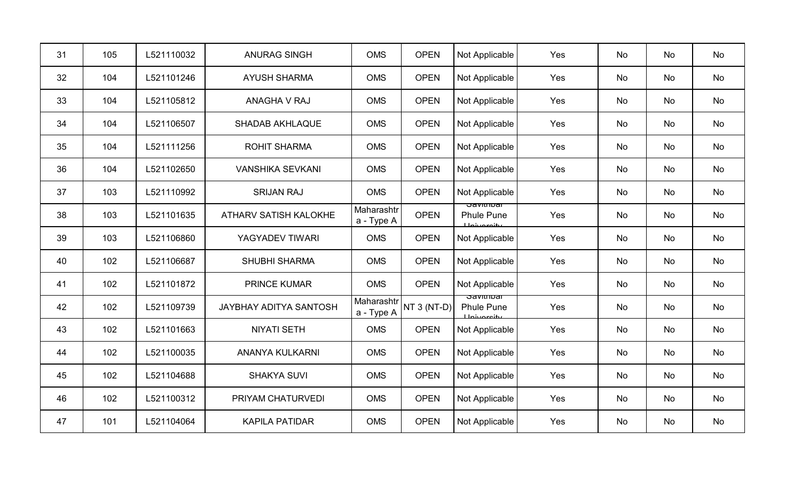| 31 | 105 | L521110032 | <b>ANURAG SINGH</b>           | <b>OMS</b>               | <b>OPEN</b> | Not Applicable                                   | Yes | No        | No | No |
|----|-----|------------|-------------------------------|--------------------------|-------------|--------------------------------------------------|-----|-----------|----|----|
| 32 | 104 | L521101246 | <b>AYUSH SHARMA</b>           | <b>OMS</b>               | <b>OPEN</b> | Not Applicable                                   | Yes | No        | No | No |
| 33 | 104 | L521105812 | ANAGHA V RAJ                  | <b>OMS</b>               | <b>OPEN</b> | Not Applicable                                   | Yes | No        | No | No |
| 34 | 104 | L521106507 | <b>SHADAB AKHLAQUE</b>        | <b>OMS</b>               | <b>OPEN</b> | Not Applicable                                   | Yes | No        | No | No |
| 35 | 104 | L521111256 | <b>ROHIT SHARMA</b>           | <b>OMS</b>               | <b>OPEN</b> | Not Applicable                                   | Yes | No        | No | No |
| 36 | 104 | L521102650 | <b>VANSHIKA SEVKANI</b>       | <b>OMS</b>               | <b>OPEN</b> | Not Applicable                                   | Yes | No        | No | No |
| 37 | 103 | L521110992 | <b>SRIJAN RAJ</b>             | <b>OMS</b>               | <b>OPEN</b> | Not Applicable                                   | Yes | <b>No</b> | No | No |
| 38 | 103 | L521101635 | ATHARV SATISH KALOKHE         | Maharashtr<br>a - Type A | <b>OPEN</b> | ਤਰvitiiibar<br><b>Phule Pune</b><br>ببانوعويناط  | Yes | No        | No | No |
| 39 | 103 | L521106860 | YAGYADEV TIWARI               | <b>OMS</b>               | <b>OPEN</b> | Not Applicable                                   | Yes | No        | No | No |
| 40 | 102 | L521106687 | <b>SHUBHI SHARMA</b>          | <b>OMS</b>               | <b>OPEN</b> | Not Applicable                                   | Yes | No        | No | No |
| 41 | 102 | L521101872 | <b>PRINCE KUMAR</b>           | <b>OMS</b>               | <b>OPEN</b> | Not Applicable                                   | Yes | No        | No | No |
| 42 | 102 | L521109739 | <b>JAYBHAY ADITYA SANTOSH</b> | Maharashtr<br>a - Type A | NT 3 (NT-D) | ਹਰvitiiibai<br><b>Phule Pune</b><br>يبانمع متناط | Yes | No        | No | No |
| 43 | 102 | L521101663 | <b>NIYATI SETH</b>            | <b>OMS</b>               | <b>OPEN</b> | Not Applicable                                   | Yes | No        | No | No |
| 44 | 102 | L521100035 | <b>ANANYA KULKARNI</b>        | <b>OMS</b>               | <b>OPEN</b> | Not Applicable                                   | Yes | <b>No</b> | No | No |
| 45 | 102 | L521104688 | <b>SHAKYA SUVI</b>            | <b>OMS</b>               | <b>OPEN</b> | Not Applicable                                   | Yes | No        | No | No |
| 46 | 102 | L521100312 | PRIYAM CHATURVEDI             | <b>OMS</b>               | <b>OPEN</b> | Not Applicable                                   | Yes | No        | No | No |
| 47 | 101 | L521104064 | <b>KAPILA PATIDAR</b>         | <b>OMS</b>               | <b>OPEN</b> | Not Applicable                                   | Yes | No        | No | No |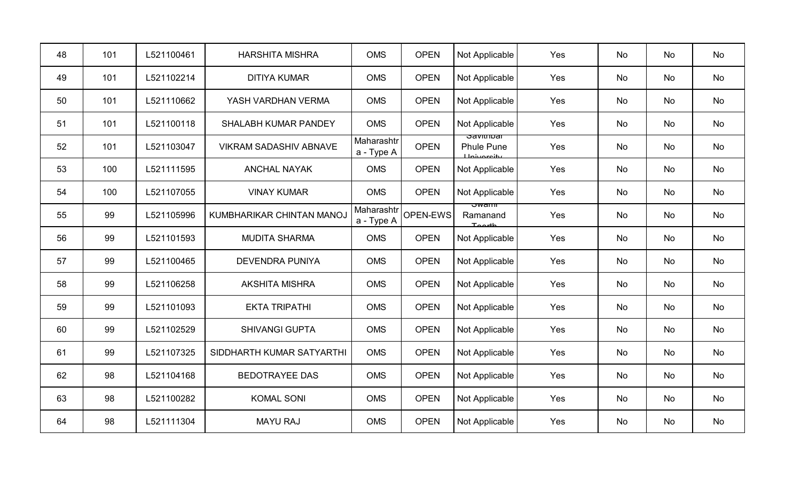| 48 | 101 | L521100461 | <b>HARSHITA MISHRA</b>           | <b>OMS</b>               | <b>OPEN</b> | Not Applicable                                | Yes | No        | No | No |
|----|-----|------------|----------------------------------|--------------------------|-------------|-----------------------------------------------|-----|-----------|----|----|
| 49 | 101 | L521102214 | <b>DITIYA KUMAR</b>              | <b>OMS</b>               | <b>OPEN</b> | Not Applicable                                | Yes | No        | No | No |
| 50 | 101 | L521110662 | YASH VARDHAN VERMA               | <b>OMS</b>               | <b>OPEN</b> | Not Applicable                                | Yes | No        | No | No |
| 51 | 101 | L521100118 | SHALABH KUMAR PANDEY             | <b>OMS</b>               | <b>OPEN</b> | Not Applicable                                | Yes | No        | No | No |
| 52 | 101 | L521103047 | <b>VIKRAM SADASHIV ABNAVE</b>    | Maharashtr<br>a - Type A | <b>OPEN</b> | ਤਰvitiibai<br><b>Phule Pune</b><br>Lloivereit | Yes | <b>No</b> | No | No |
| 53 | 100 | L521111595 | <b>ANCHAL NAYAK</b>              | <b>OMS</b>               | <b>OPEN</b> | Not Applicable                                | Yes | <b>No</b> | No | No |
| 54 | 100 | L521107055 | <b>VINAY KUMAR</b>               | <b>OMS</b>               | <b>OPEN</b> | Not Applicable                                | Yes | <b>No</b> | No | No |
| 55 | 99  | L521105996 | <b>KUMBHARIKAR CHINTAN MANOJ</b> | Maharashtr<br>a - Type A | OPEN-EWS    | ਤੂwam<br>Ramanand<br>طاعممت                   | Yes | No        | No | No |
| 56 | 99  | L521101593 | <b>MUDITA SHARMA</b>             | <b>OMS</b>               | <b>OPEN</b> | Not Applicable                                | Yes | No        | No | No |
| 57 | 99  | L521100465 | <b>DEVENDRA PUNIYA</b>           | <b>OMS</b>               | <b>OPEN</b> | Not Applicable                                | Yes | No        | No | No |
| 58 | 99  | L521106258 | <b>AKSHITA MISHRA</b>            | <b>OMS</b>               | <b>OPEN</b> | Not Applicable                                | Yes | No        | No | No |
| 59 | 99  | L521101093 | <b>EKTA TRIPATHI</b>             | <b>OMS</b>               | <b>OPEN</b> | Not Applicable                                | Yes | <b>No</b> | No | No |
| 60 | 99  | L521102529 | <b>SHIVANGI GUPTA</b>            | <b>OMS</b>               | <b>OPEN</b> | Not Applicable                                | Yes | No        | No | No |
| 61 | 99  | L521107325 | SIDDHARTH KUMAR SATYARTHI        | <b>OMS</b>               | <b>OPEN</b> | Not Applicable                                | Yes | <b>No</b> | No | No |
| 62 | 98  | L521104168 | <b>BEDOTRAYEE DAS</b>            | <b>OMS</b>               | <b>OPEN</b> | Not Applicable                                | Yes | No        | No | No |
| 63 | 98  | L521100282 | <b>KOMAL SONI</b>                | <b>OMS</b>               | <b>OPEN</b> | Not Applicable                                | Yes | No        | No | No |
| 64 | 98  | L521111304 | <b>MAYU RAJ</b>                  | <b>OMS</b>               | <b>OPEN</b> | Not Applicable                                | Yes | No        | No | No |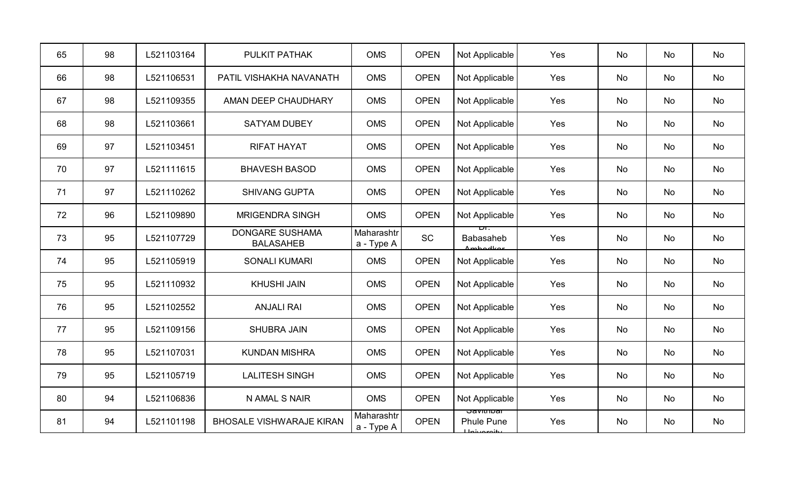| 65 | 98 | L521103164 | PULKIT PATHAK                              | <b>OMS</b>               | <b>OPEN</b> | Not Applicable                                                | Yes | No | No | No |
|----|----|------------|--------------------------------------------|--------------------------|-------------|---------------------------------------------------------------|-----|----|----|----|
| 66 | 98 | L521106531 | PATIL VISHAKHA NAVANATH                    | <b>OMS</b>               | <b>OPEN</b> | Not Applicable                                                | Yes | No | No | No |
| 67 | 98 | L521109355 | AMAN DEEP CHAUDHARY                        | <b>OMS</b>               | <b>OPEN</b> | Not Applicable                                                | Yes | No | No | No |
| 68 | 98 | L521103661 | <b>SATYAM DUBEY</b>                        | <b>OMS</b>               | <b>OPEN</b> | Not Applicable                                                | Yes | No | No | No |
| 69 | 97 | L521103451 | <b>RIFAT HAYAT</b>                         | <b>OMS</b>               | <b>OPEN</b> | Not Applicable                                                | Yes | No | No | No |
| 70 | 97 | L521111615 | <b>BHAVESH BASOD</b>                       | <b>OMS</b>               | <b>OPEN</b> | Not Applicable                                                | Yes | No | No | No |
| 71 | 97 | L521110262 | <b>SHIVANG GUPTA</b>                       | <b>OMS</b>               | <b>OPEN</b> | Not Applicable                                                | Yes | No | No | No |
| 72 | 96 | L521109890 | <b>MRIGENDRA SINGH</b>                     | <b>OMS</b>               | <b>OPEN</b> | Not Applicable                                                | Yes | No | No | No |
| 73 | 95 | L521107729 | <b>DONGARE SUSHAMA</b><br><b>BALASAHEB</b> | Maharashtr<br>a - Type A | <b>SC</b>   | Babasaheb<br>Amhodkoi                                         | Yes | No | No | No |
| 74 | 95 | L521105919 | <b>SONALI KUMARI</b>                       | <b>OMS</b>               | <b>OPEN</b> | Not Applicable                                                | Yes | No | No | No |
| 75 | 95 | L521110932 | <b>KHUSHI JAIN</b>                         | <b>OMS</b>               | <b>OPEN</b> | Not Applicable                                                | Yes | No | No | No |
| 76 | 95 | L521102552 | <b>ANJALI RAI</b>                          | <b>OMS</b>               | <b>OPEN</b> | Not Applicable                                                | Yes | No | No | No |
| 77 | 95 | L521109156 | <b>SHUBRA JAIN</b>                         | <b>OMS</b>               | <b>OPEN</b> | Not Applicable                                                | Yes | No | No | No |
| 78 | 95 | L521107031 | <b>KUNDAN MISHRA</b>                       | <b>OMS</b>               | <b>OPEN</b> | Not Applicable                                                | Yes | No | No | No |
| 79 | 95 | L521105719 | <b>LALITESH SINGH</b>                      | <b>OMS</b>               | <b>OPEN</b> | Not Applicable                                                | Yes | No | No | No |
| 80 | 94 | L521106836 | N AMAL S NAIR                              | <b>OMS</b>               | <b>OPEN</b> | Not Applicable                                                | Yes | No | No | No |
| 81 | 94 | L521101198 | <b>BHOSALE VISHWARAJE KIRAN</b>            | Maharashtr<br>a - Type A | <b>OPEN</b> | <u>oavitiivai</u><br><b>Phule Pune</b><br>يبغنهم مبرنا بالمسل | Yes | No | No | No |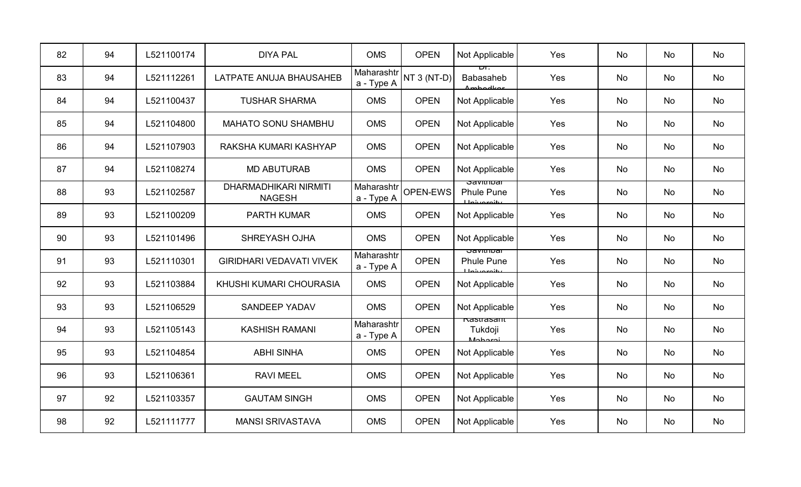| 82 | 94 | L521100174 | <b>DIYA PAL</b>                               | <b>OMS</b>               | <b>OPEN</b> | Not Applicable                                               | Yes | No        | No        | No |
|----|----|------------|-----------------------------------------------|--------------------------|-------------|--------------------------------------------------------------|-----|-----------|-----------|----|
| 83 | 94 | L521112261 | LATPATE ANUJA BHAUSAHEB                       | Maharashtr<br>a - Type A | NT 3 (NT-D) | ᇚ.<br><b>Babasaheb</b><br><i>Ambodkov</i>                    | Yes | No        | No        | No |
| 84 | 94 | L521100437 | <b>TUSHAR SHARMA</b>                          | <b>OMS</b>               | <b>OPEN</b> | Not Applicable                                               | Yes | No        | No        | No |
| 85 | 94 | L521104800 | <b>MAHATO SONU SHAMBHU</b>                    | <b>OMS</b>               | <b>OPEN</b> | Not Applicable                                               | Yes | No        | No        | No |
| 86 | 94 | L521107903 | RAKSHA KUMARI KASHYAP                         | <b>OMS</b>               | <b>OPEN</b> | Not Applicable                                               | Yes | No        | No        | No |
| 87 | 94 | L521108274 | <b>MD ABUTURAB</b>                            | <b>OMS</b>               | <b>OPEN</b> | Not Applicable                                               | Yes | No        | No        | No |
| 88 | 93 | L521102587 | <b>DHARMADHIKARI NIRMITI</b><br><b>NAGESH</b> | Maharashtr<br>a - Type A | OPEN-EWS    | उवणाााण्वा<br><b>Phule Pune</b><br>ببانوعهن بزماجا           | Yes | <b>No</b> | <b>No</b> | No |
| 89 | 93 | L521100209 | PARTH KUMAR                                   | <b>OMS</b>               | <b>OPEN</b> | Not Applicable                                               | Yes | No        | No        | No |
| 90 | 93 | L521101496 | SHREYASH OJHA                                 | <b>OMS</b>               | <b>OPEN</b> | Not Applicable                                               | Yes | <b>No</b> | No        | No |
| 91 | 93 | L521110301 | <b>GIRIDHARI VEDAVATI VIVEK</b>               | Maharashtr<br>a - Type A | <b>OPEN</b> | <b>Savithibal</b><br><b>Phule Pune</b><br><b>Ilpivaroity</b> | Yes | No        | No        | No |
| 92 | 93 | L521103884 | KHUSHI KUMARI CHOURASIA                       | <b>OMS</b>               | <b>OPEN</b> | Not Applicable                                               | Yes | No        | No        | No |
| 93 | 93 | L521106529 | <b>SANDEEP YADAV</b>                          | <b>OMS</b>               | <b>OPEN</b> | Not Applicable                                               | Yes | <b>No</b> | <b>No</b> | No |
| 94 | 93 | L521105143 | <b>KASHISH RAMANI</b>                         | Maharashtr<br>a - Type A | <b>OPEN</b> | rastrasam<br>Tukdoji<br>$M_0$ horo:                          | Yes | No        | No        | No |
| 95 | 93 | L521104854 | <b>ABHI SINHA</b>                             | <b>OMS</b>               | <b>OPEN</b> | Not Applicable                                               | Yes | <b>No</b> | <b>No</b> | No |
| 96 | 93 | L521106361 | <b>RAVI MEEL</b>                              | <b>OMS</b>               | <b>OPEN</b> | Not Applicable                                               | Yes | <b>No</b> | No        | No |
| 97 | 92 | L521103357 | <b>GAUTAM SINGH</b>                           | <b>OMS</b>               | <b>OPEN</b> | Not Applicable                                               | Yes | No        | No        | No |
| 98 | 92 | L521111777 | <b>MANSI SRIVASTAVA</b>                       | <b>OMS</b>               | <b>OPEN</b> | Not Applicable                                               | Yes | No        | No        | No |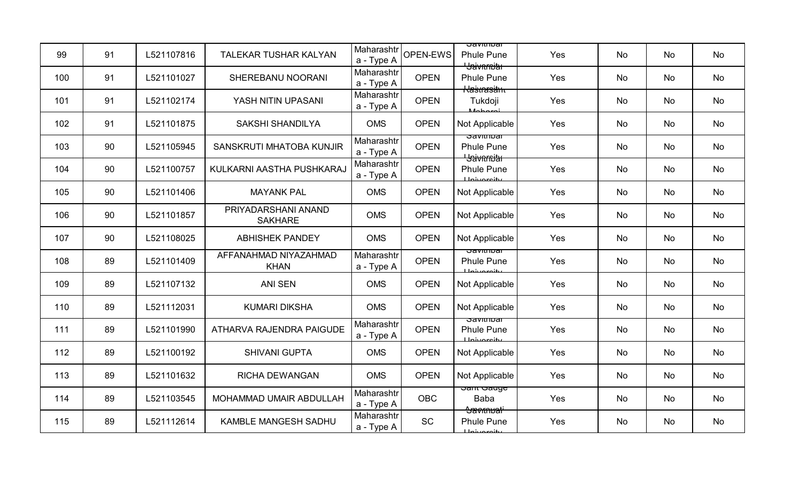| 99  | 91 | L521107816 | <b>TALEKAR TUSHAR KALYAN</b>          | Maharashtr<br>a - Type A | OPEN-EWS    | उवणाााण्वा<br><b>Phule Pune</b><br><del>' Jaivnrniar</del>         | Yes | <b>No</b> | No | No |
|-----|----|------------|---------------------------------------|--------------------------|-------------|--------------------------------------------------------------------|-----|-----------|----|----|
| 100 | 91 | L521101027 | SHEREBANU NOORANI                     | Maharashtr<br>a - Type A | <b>OPEN</b> | <b>Phule Pune</b><br><del>Kasnasäm</del>                           | Yes | No        | No | No |
| 101 | 91 | L521102174 | YASH NITIN UPASANI                    | Maharashtr<br>a - Type A | <b>OPEN</b> | Tukdoji<br><b>Mohoroi</b>                                          | Yes | No        | No | No |
| 102 | 91 | L521101875 | <b>SAKSHI SHANDILYA</b>               | <b>OMS</b>               | <b>OPEN</b> | Not Applicable                                                     | Yes | <b>No</b> | No | No |
| 103 | 90 | L521105945 | SANSKRUTI MHATOBA KUNJIR              | Maharashtr<br>a - Type A | <b>OPEN</b> | <del>oavitiibar</del><br><b>Phule Pune</b><br><b>L</b> Saivarnitat | Yes | <b>No</b> | No | No |
| 104 | 90 | L521100757 | KULKARNI AASTHA PUSHKARAJ             | Maharashtr<br>a - Type A | <b>OPEN</b> | <b>Phule Pune</b><br><b>Lloiuaraitu</b>                            | Yes | No        | No | No |
| 105 | 90 | L521101406 | <b>MAYANK PAL</b>                     | <b>OMS</b>               | <b>OPEN</b> | Not Applicable                                                     | Yes | No        | No | No |
| 106 | 90 | L521101857 | PRIYADARSHANI ANAND<br><b>SAKHARE</b> | <b>OMS</b>               | <b>OPEN</b> | Not Applicable                                                     | Yes | No        | No | No |
| 107 | 90 | L521108025 | <b>ABHISHEK PANDEY</b>                | <b>OMS</b>               | <b>OPEN</b> | Not Applicable                                                     | Yes | <b>No</b> | No | No |
| 108 | 89 | L521101409 | AFFANAHMAD NIYAZAHMAD<br><b>KHAN</b>  | Maharashtr<br>a - Type A | <b>OPEN</b> | ਤਰviuii∪ai<br><b>Phule Pune</b><br>ببانميمينمليلا                  | Yes | No        | No | No |
| 109 | 89 | L521107132 | <b>ANI SEN</b>                        | <b>OMS</b>               | <b>OPEN</b> | Not Applicable                                                     | Yes | <b>No</b> | No | No |
| 110 | 89 | L521112031 | <b>KUMARI DIKSHA</b>                  | <b>OMS</b>               | <b>OPEN</b> | Not Applicable                                                     | Yes | <b>No</b> | No | No |
| 111 | 89 | L521101990 | ATHARVA RAJENDRA PAIGUDE              | Maharashtr<br>a - Type A | <b>OPEN</b> | ਤਰviuii∪ai<br><b>Phule Pune</b><br>يناوعهم بزوال                   | Yes | No        | No | No |
| 112 | 89 | L521100192 | <b>SHIVANI GUPTA</b>                  | <b>OMS</b>               | <b>OPEN</b> | Not Applicable                                                     | Yes | No        | No | No |
| 113 | 89 | L521101632 | <b>RICHA DEWANGAN</b>                 | <b>OMS</b>               | <b>OPEN</b> | Not Applicable                                                     | Yes | <b>No</b> | No | No |
| 114 | 89 | L521103545 | MOHAMMAD UMAIR ABDULLAH               | Maharashtr<br>a - Type A | <b>OBC</b>  | <del>oam oauge</del><br><b>Baba</b><br><del>Aavknuati</del>        | Yes | No        | No | No |
| 115 | 89 | L521112614 | KAMBLE MANGESH SADHU                  | Maharashtr<br>a - Type A | <b>SC</b>   | <b>Phule Pune</b><br><b>Johnsonity</b>                             | Yes | No        | No | No |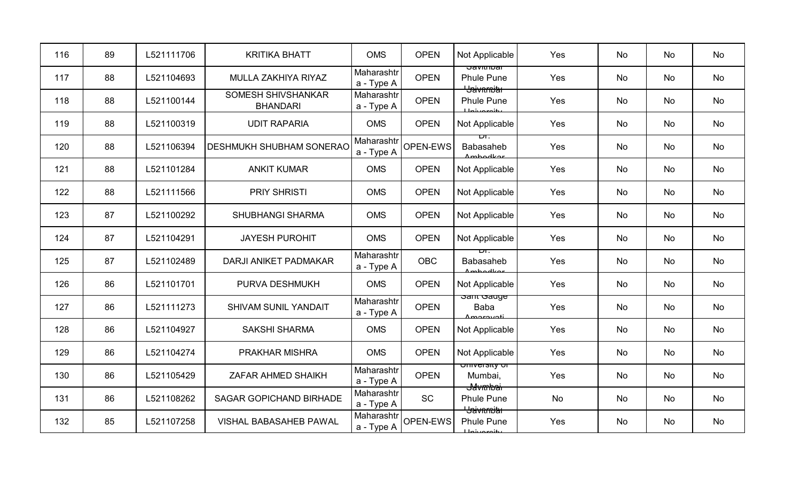| 116 | 89 | L521111706 | <b>KRITIKA BHATT</b>                  | <b>OMS</b>               | <b>OPEN</b> | Not Applicable                                            | Yes | No        | No | No |
|-----|----|------------|---------------------------------------|--------------------------|-------------|-----------------------------------------------------------|-----|-----------|----|----|
| 117 | 88 | L521104693 | MULLA ZAKHIYA RIYAZ                   | Maharashtr<br>a - Type A | <b>OPEN</b> | <del>oavitiivai</del><br><b>Phule Pune</b>                | Yes | No        | No | No |
| 118 | 88 | L521100144 | SOMESH SHIVSHANKAR<br><b>BHANDARI</b> | Maharashtr<br>a - Type A | <b>OPEN</b> | <b>Baivnmith</b><br><b>Phule Pune</b><br>حائمهم بنصليا    | Yes | No        | No | No |
| 119 | 88 | L521100319 | <b>UDIT RAPARIA</b>                   | <b>OMS</b>               | <b>OPEN</b> | Not Applicable                                            | Yes | No        | No | No |
| 120 | 88 | L521106394 | <b>DESHMUKH SHUBHAM SONERAC</b>       | Maharashtr<br>a - Type A | OPEN-EWS    | ப.<br><b>Babasaheb</b><br>Amhodkor                        | Yes | No        | No | No |
| 121 | 88 | L521101284 | <b>ANKIT KUMAR</b>                    | <b>OMS</b>               | <b>OPEN</b> | Not Applicable                                            | Yes | No        | No | No |
| 122 | 88 | L521111566 | <b>PRIY SHRISTI</b>                   | <b>OMS</b>               | <b>OPEN</b> | Not Applicable                                            | Yes | No        | No | No |
| 123 | 87 | L521100292 | <b>SHUBHANGI SHARMA</b>               | <b>OMS</b>               | <b>OPEN</b> | Not Applicable                                            | Yes | <b>No</b> | No | No |
| 124 | 87 | L521104291 | <b>JAYESH PUROHIT</b>                 | <b>OMS</b>               | <b>OPEN</b> | Not Applicable                                            | Yes | No        | No | No |
| 125 | 87 | L521102489 | <b>DARJI ANIKET PADMAKAR</b>          | Maharashtr<br>a - Type A | <b>OBC</b>  | ᠇᠇᠇<br><b>Babasaheb</b><br>Amhodles                       | Yes | No        | No | No |
| 126 | 86 | L521101701 | PURVA DESHMUKH                        | <b>OMS</b>               | <b>OPEN</b> | Not Applicable                                            | Yes | <b>No</b> | No | No |
| 127 | 86 | L521111273 | <b>SHIVAM SUNIL YANDAIT</b>           | Maharashtr<br>a - Type A | <b>OPEN</b> | <del>oam Gauye</del><br><b>Baba</b><br><u>Amorovoti</u>   | Yes | <b>No</b> | No | No |
| 128 | 86 | L521104927 | <b>SAKSHI SHARMA</b>                  | <b>OMS</b>               | <b>OPEN</b> | Not Applicable                                            | Yes | No        | No | No |
| 129 | 86 | L521104274 | PRAKHAR MISHRA                        | <b>OMS</b>               | <b>OPEN</b> | Not Applicable                                            | Yes | No        | No | No |
| 130 | 86 | L521105429 | <b>ZAFAR AHMED SHAIKH</b>             | Maharashtr<br>a - Type A | <b>OPEN</b> | <del>University or</del><br>Mumbai,<br><del>Javmbai</del> | Yes | <b>No</b> | No | No |
| 131 | 86 | L521108262 | <b>SAGAR GOPICHAND BIRHADE</b>        | Maharashtr<br>a - Type A | <b>SC</b>   | <b>Phule Pune</b><br><b>Haivarnia</b>                     | No  | No        | No | No |
| 132 | 85 | L521107258 | VISHAL BABASAHEB PAWAL                | Maharashtr<br>a - Type A | OPEN-EWS    | <b>Phule Pune</b><br>بانمروزها                            | Yes | No        | No | No |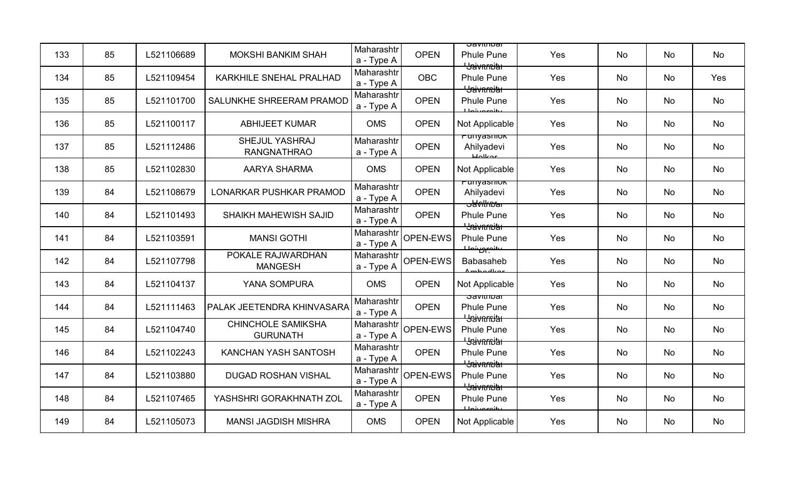| 133 | 85 | L521106689 | <b>MOKSHI BANKIM SHAH</b>                    | Maharashtr<br>a - Type A | <b>OPEN</b> | उवणाााण्वा<br><b>Phule Pune</b><br><del>' Jaivnrniar</del>  | Yes | <b>No</b> | <b>No</b> | <b>No</b> |
|-----|----|------------|----------------------------------------------|--------------------------|-------------|-------------------------------------------------------------|-----|-----------|-----------|-----------|
| 134 | 85 | L521109454 | KARKHILE SNEHAL PRALHAD                      | Maharashtr<br>a - Type A | <b>OBC</b>  | <b>Phule Pune</b><br><b>Bavarnitat</b>                      | Yes | No        | No        | Yes       |
| 135 | 85 | L521101700 | SALUNKHE SHREERAM PRAMOD                     | Maharashtr<br>a - Type A | <b>OPEN</b> | <b>Phule Pune</b><br>$I$ Injuaraity                         | Yes | No        | No        | No        |
| 136 | 85 | L521100117 | <b>ABHIJEET KUMAR</b>                        | <b>OMS</b>               | <b>OPEN</b> | Not Applicable                                              | Yes | No        | No        | No        |
| 137 | 85 | L521112486 | SHEJUL YASHRAJ<br><b>RANGNATHRAO</b>         | Maharashtr<br>a - Type A | <b>OPEN</b> | runyasınok<br>Ahilyadevi<br>$H$ olkor                       | Yes | No        | No        | No        |
| 138 | 85 | L521102830 | <b>AARYA SHARMA</b>                          | <b>OMS</b>               | <b>OPEN</b> | Not Applicable                                              | Yes | No        | No        | No        |
| 139 | 84 | L521108679 | <b>LONARKAR PUSHKAR PRAMOD</b>               | Maharashtr<br>a - Type A | <b>OPEN</b> | <del>runyasınon</del><br>Ahilyadevi<br><del>ɔawlfncar</del> | Yes | No        | No        | No        |
| 140 | 84 | L521101493 | SHAIKH MAHEWISH SAJID                        | Maharashtr<br>a - Type A | <b>OPEN</b> | <b>Phule Pune</b><br><b>L</b> Saivarnia                     | Yes | <b>No</b> | No        | No        |
| 141 | 84 | L521103591 | <b>MANSI GOTHI</b>                           | Maharashtr<br>a - Type A | OPEN-EWS    | <b>Phule Pune</b><br>ببانوير بناسله                         | Yes | No        | No        | No        |
| 142 | 84 | L521107798 | POKALE RAJWARDHAN<br><b>MANGESH</b>          | Maharashtr<br>a - Type A | OPEN-EWS    | <b>Babasaheb</b><br><u>Amhadkar</u>                         | Yes | <b>No</b> | No        | No        |
| 143 | 84 | L521104137 | YANA SOMPURA                                 | <b>OMS</b>               | <b>OPEN</b> | Not Applicable                                              | Yes | No        | No        | No        |
| 144 | 84 | L521111463 | PALAK JEETENDRA KHINVASARA                   | Maharashtr<br>a - Type A | <b>OPEN</b> | oavitiitudi<br><b>Phule Pune</b><br><del>' Jaivarniar</del> | Yes | No        | No        | No        |
| 145 | 84 | L521104740 | <b>CHINCHOLE SAMIKSHA</b><br><b>GURUNATH</b> | Maharashtr<br>a - Type A | OPEN-EWS    | <b>Phule Pune</b><br><del>' Jaivnmiar</del>                 | Yes | No        | No        | No        |
| 146 | 84 | L521102243 | KANCHAN YASH SANTOSH                         | Maharashtr<br>a - Type A | <b>OPEN</b> | <b>Phule Pune</b><br><b>Baivnmith</b>                       | Yes | <b>No</b> | No        | No        |
| 147 | 84 | L521103880 | <b>DUGAD ROSHAN VISHAL</b>                   | Maharashtr<br>a - Type A | OPEN-EWS    | <b>Phule Pune</b><br><del>' Jaivarniar</del>                | Yes | No        | No        | No        |
| 148 | 84 | L521107465 | YASHSHRI GORAKHNATH ZOL                      | Maharashtr<br>a - Type A | <b>OPEN</b> | <b>Phule Pune</b><br>ببانومومنا                             | Yes | No        | No        | No        |
| 149 | 84 | L521105073 | <b>MANSI JAGDISH MISHRA</b>                  | <b>OMS</b>               | <b>OPEN</b> | Not Applicable                                              | Yes | No        | No        | No        |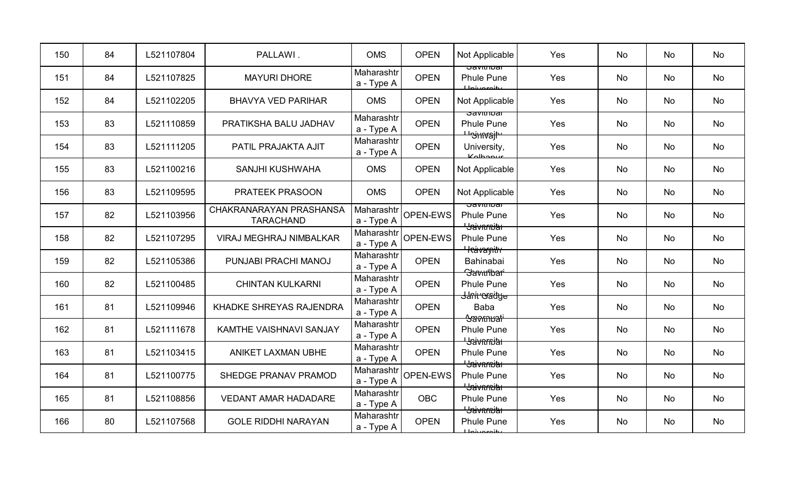| 150 | 84 | L521107804 | PALLAWI.                                    | <b>OMS</b>               | <b>OPEN</b>     | Not Applicable                                                         | Yes | No        | No        | No |
|-----|----|------------|---------------------------------------------|--------------------------|-----------------|------------------------------------------------------------------------|-----|-----------|-----------|----|
| 151 | 84 | L521107825 | <b>MAYURI DHORE</b>                         | Maharashtr<br>a - Type A | <b>OPEN</b>     | Javitiitudi<br><b>Phule Pune</b><br><b>Lloi</b> versity                | Yes | No        | No        | No |
| 152 | 84 | L521102205 | <b>BHAVYA VED PARIHAR</b>                   | <b>OMS</b>               | <b>OPEN</b>     | Not Applicable                                                         | Yes | No        | No        | No |
| 153 | 83 | L521110859 | PRATIKSHA BALU JADHAV                       | Maharashtr<br>a - Type A | <b>OPEN</b>     | ਤਰvitribal<br><b>Phule Pune</b><br><del>' 's'ınvajl'</del>             | Yes | <b>No</b> | No        | No |
| 154 | 83 | L521111205 | PATIL PRAJAKTA AJIT                         | Maharashtr<br>a - Type A | <b>OPEN</b>     | University,<br>Kolbonum                                                | Yes | No        | No        | No |
| 155 | 83 | L521100216 | <b>SANJHI KUSHWAHA</b>                      | <b>OMS</b>               | <b>OPEN</b>     | Not Applicable                                                         | Yes | No        | No        | No |
| 156 | 83 | L521109595 | <b>PRATEEK PRASOON</b>                      | <b>OMS</b>               | <b>OPEN</b>     | Not Applicable                                                         | Yes | No        | No        | No |
| 157 | 82 | L521103956 | CHAKRANARAYAN PRASHANSA<br><b>TARACHAND</b> | Maharashtr<br>a - Type A | OPEN-EWS        | उवणाााण्वा<br><b>Phule Pune</b><br><del>' Jaivnrniar</del>             | Yes | <b>No</b> | <b>No</b> | No |
| 158 | 82 | L521107295 | VIRAJ MEGHRAJ NIMBALKAR                     | Maharashtr<br>a - Type A | OPEN-EWS        | <b>Phule Pune</b><br><del>Heavargith</del>                             | Yes | No        | No        | No |
| 159 | 82 | L521105386 | PUNJABI PRACHI MANOJ                        | Maharashtr<br>a - Type A | <b>OPEN</b>     | Bahinabai<br><b>Slavintbari</b>                                        | Yes | No        | No        | No |
| 160 | 82 | L521100485 | <b>CHINTAN KULKARNI</b>                     | Maharashtr<br>a - Type A | <b>OPEN</b>     | <b>Phule Pune</b><br><del>Janiroradye</del>                            | Yes | No        | No        | No |
| 161 | 81 | L521109946 | <b>KHADKE SHREYAS RAJENDRA</b>              | Maharashtr<br>a - Type A | <b>OPEN</b>     | <b>Baba</b><br><del>'Savmuati'</del>                                   | Yes | <b>No</b> | No        | No |
| 162 | 81 | L521111678 | <b>KAMTHE VAISHNAVI SANJAY</b>              | Maharashtr<br>a - Type A | <b>OPEN</b>     | <b>Phule Pune</b><br><del>' Jaivnrniar</del>                           | Yes | No        | No        | No |
| 163 | 81 | L521103415 | <b>ANIKET LAXMAN UBHE</b>                   | Maharashtr<br>a - Type A | <b>OPEN</b>     | <b>Phule Pune</b>                                                      | Yes | No        | No        | No |
| 164 | 81 | L521100775 | SHEDGE PRANAV PRAMOD                        | Maharashtr<br>a - Type A | <b>OPEN-EWS</b> | <del>' Jaivarniar</del><br><b>Phule Pune</b><br><del>Usivarnitar</del> | Yes | <b>No</b> | No        | No |
| 165 | 81 | L521108856 | <b>VEDANT AMAR HADADARE</b>                 | Maharashtr<br>a - Type A | <b>OBC</b>      | <b>Phule Pune</b><br><del>Usivarnitar</del>                            | Yes | No        | No        | No |
| 166 | 80 | L521107568 | <b>GOLE RIDDHI NARAYAN</b>                  | Maharashtr<br>a - Type A | <b>OPEN</b>     | <b>Phule Pune</b><br>بانمريمين بالبا                                   | Yes | No        | No        | No |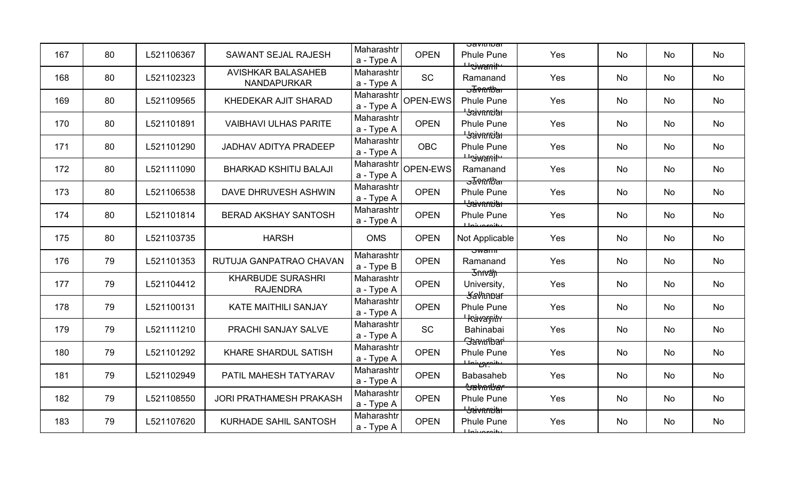| 167 | 80 | L521106367 | SAWANT SEJAL RAJESH                             | Maharashtr<br>a - Type A | <b>OPEN</b> | <u> Javitiivar</u><br><b>Phule Pune</b>                            | Yes | <b>No</b> | No | No |
|-----|----|------------|-------------------------------------------------|--------------------------|-------------|--------------------------------------------------------------------|-----|-----------|----|----|
| 168 | 80 | L521102323 | <b>AVISHKAR BALASAHEB</b><br><b>NANDAPURKAR</b> | Maharashtr<br>a - Type A | <b>SC</b>   | <del>Uniwanit</del><br>Ramanand<br><del>ਤਰ</del> ੋਂ ਅੇਜ਼ੀਏ ਕ       | Yes | <b>No</b> | No | No |
| 169 | 80 | L521109565 | KHEDEKAR AJIT SHARAD                            | Maharashtr<br>a - Type A | OPEN-EWS    | <b>Phule Pune</b>                                                  | Yes | No        | No | No |
| 170 | 80 | L521101891 | <b>VAIBHAVI ULHAS PARITE</b>                    | Maharashtr<br>a - Type A | <b>OPEN</b> | <del>' Jaivnrniar</del><br><b>Phule Pune</b>                       | Yes | <b>No</b> | No | No |
| 171 | 80 | L521101290 | <b>JADHAV ADITYA PRADEEP</b>                    | Maharashtr<br>a - Type A | <b>OBC</b>  | <del>' Jaivnmiar</del><br><b>Phule Pune</b><br><del>Uniwanit</del> | Yes | <b>No</b> | No | No |
| 172 | 80 | L521111090 | <b>BHARKAD KSHITIJ BALAJI</b>                   | Maharashtr<br>a - Type A | OPEN-EWS    | Ramanand<br><del>उΣि⊽∩∩ਇੈaा</del>                                  | Yes | No        | No | No |
| 173 | 80 | L521106538 | DAVE DHRUVESH ASHWIN                            | Maharashtr<br>a - Type A | <b>OPEN</b> | <b>Phule Pune</b><br><del>' Jaivnmiar</del>                        | Yes | No        | No | No |
| 174 | 80 | L521101814 | <b>BERAD AKSHAY SANTOSH</b>                     | Maharashtr<br>a - Type A | <b>OPEN</b> | <b>Phule Pune</b><br>يغانمون بالملايا                              | Yes | No        | No | No |
| 175 | 80 | L521103735 | <b>HARSH</b>                                    | <b>OMS</b>               | <b>OPEN</b> | Not Applicable                                                     | Yes | <b>No</b> | No | No |
| 176 | 79 | L521101353 | RUTUJA GANPATRAO CHAVAN                         | Maharashtr<br>a - Type B | <b>OPEN</b> | ਤwamm<br>Ramanand                                                  | Yes | No        | No | No |
| 177 | 79 | L521104412 | <b>KHARBUDE SURASHRI</b><br><b>RAJENDRA</b>     | Maharashtr<br>a - Type A | <b>OPEN</b> | <del>Jnivan</del><br>University,<br><del>Savhnbur</del>            | Yes | <b>No</b> | No | No |
| 178 | 79 | L521100131 | <b>KATE MAITHILI SANJAY</b>                     | Maharashtr<br>a - Type A | <b>OPEN</b> | <b>Phule Pune</b>                                                  | Yes | <b>No</b> | No | No |
| 179 | 79 | L521111210 | PRACHI SANJAY SALVE                             | Maharashtr<br>a - Type A | <b>SC</b>   | <del>' kävargitrr</del><br>Bahinabai<br>Savudbari                  | Yes | No        | No | No |
| 180 | 79 | L521101292 | <b>KHARE SHARDUL SATISH</b>                     | Maharashtr<br>a - Type A | <b>OPEN</b> | <b>Phule Pune</b><br>ىئىمىسى شىلىك                                 | Yes | No        | No | No |
| 181 | 79 | L521102949 | PATIL MAHESH TATYARAV                           | Maharashtr<br>a - Type A | <b>OPEN</b> | <b>Babasaheb</b><br><del>Sabarbar</del>                            | Yes | <b>No</b> | No | No |
| 182 | 79 | L521108550 | <b>JORI PRATHAMESH PRAKASH</b>                  | Maharashtr<br>a - Type A | <b>OPEN</b> | <b>Phule Pune</b><br><del>' Jaivnrniar</del>                       | Yes | No        | No | No |
| 183 | 79 | L521107620 | KURHADE SAHIL SANTOSH                           | Maharashtr<br>a - Type A | <b>OPEN</b> | <b>Phule Pune</b><br>للمعميشمل                                     | Yes | <b>No</b> | No | No |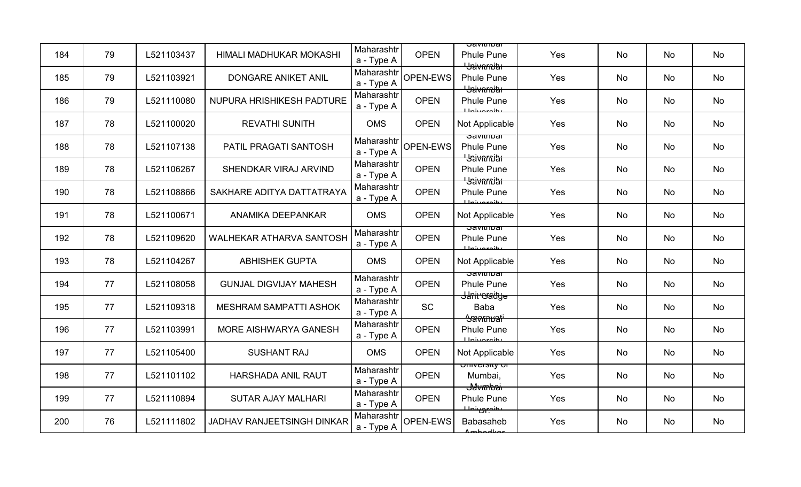| 184 | 79 | L521103437 | HIMALI MADHUKAR MOKASHI           | Maharashtr<br>a - Type A | <b>OPEN</b> | <u> Javitiivar</u><br><b>Phule Pune</b><br><del>' Jaivarniar</del> | Yes | <b>No</b> | No | No |
|-----|----|------------|-----------------------------------|--------------------------|-------------|--------------------------------------------------------------------|-----|-----------|----|----|
| 185 | 79 | L521103921 | <b>DONGARE ANIKET ANIL</b>        | Maharashtr<br>a - Type A | OPEN-EWS    | <b>Phule Pune</b><br><b>L</b> Saivnmith                            | Yes | <b>No</b> | No | No |
| 186 | 79 | L521110080 | NUPURA HRISHIKESH PADTURE         | Maharashtr<br>a - Type A | <b>OPEN</b> | <b>Phule Pune</b><br>$I$ Injuaraity                                | Yes | No        | No | No |
| 187 | 78 | L521100020 | <b>REVATHI SUNITH</b>             | <b>OMS</b>               | <b>OPEN</b> | Not Applicable                                                     | Yes | <b>No</b> | No | No |
| 188 | 78 | L521107138 | PATIL PRAGATI SANTOSH             | Maharashtr<br>a - Type A | OPEN-EWS    | <b>Savithibal</b><br><b>Phule Pune</b><br><del>' Jaivnrniar</del>  | Yes | <b>No</b> | No | No |
| 189 | 78 | L521106267 | SHENDKAR VIRAJ ARVIND             | Maharashtr<br>a - Type A | <b>OPEN</b> | <b>Phule Pune</b><br><del>' Jaivarniar</del>                       | Yes | No        | No | No |
| 190 | 78 | L521108866 | SAKHARE ADITYA DATTATRAYA         | Maharashtr<br>a - Type A | <b>OPEN</b> | <b>Phule Pune</b><br><b>Lloiuaroity</b>                            | Yes | <b>No</b> | No | No |
| 191 | 78 | L521100671 | ANAMIKA DEEPANKAR                 | <b>OMS</b>               | <b>OPEN</b> | Not Applicable                                                     | Yes | No        | No | No |
| 192 | 78 | L521109620 | <b>WALHEKAR ATHARVA SANTOSH</b>   | Maharashtr<br>a - Type A | <b>OPEN</b> | <u>उत्रणाााण्वा</u><br><b>Phule Pune</b><br>ببانوع ويناط           | Yes | <b>No</b> | No | No |
| 193 | 78 | L521104267 | <b>ABHISHEK GUPTA</b>             | <b>OMS</b>               | <b>OPEN</b> | Not Applicable                                                     | Yes | <b>No</b> | No | No |
| 194 | 77 | L521108058 | <b>GUNJAL DIGVIJAY MAHESH</b>     | Maharashtr<br>a - Type A | <b>OPEN</b> | <u>उत्रणााण्वा</u><br><b>Phule Pune</b>                            | Yes | <b>No</b> | No | No |
| 195 | 77 | L521109318 | <b>MESHRAM SAMPATTI ASHOK</b>     | Maharashtr<br>a - Type A | <b>SC</b>   | <del>Janiroradye</del><br><b>Baba</b><br><del>Savmuali</del>       | Yes | <b>No</b> | No | No |
| 196 | 77 | L521103991 | MORE AISHWARYA GANESH             | Maharashtr<br>a - Type A | <b>OPEN</b> | <b>Phule Pune</b><br>يغامعه متمليلا                                | Yes | No        | No | No |
| 197 | 77 | L521105400 | <b>SUSHANT RAJ</b>                | <b>OMS</b>               | <b>OPEN</b> | Not Applicable                                                     | Yes | No        | No | No |
| 198 | 77 | L521101102 | <b>HARSHADA ANIL RAUT</b>         | Maharashtr<br>a - Type A | <b>OPEN</b> | <del>University or</del><br>Mumbai,<br><del>J4vmbai</del>          | Yes | <b>No</b> | No | No |
| 199 | 77 | L521110894 | <b>SUTAR AJAY MALHARI</b>         | Maharashtr<br>a - Type A | <b>OPEN</b> | <b>Phule Pune</b><br>عبينصون بالمستحصل                             | Yes | No        | No | No |
| 200 | 76 | L521111802 | <b>JADHAV RANJEETSINGH DINKAR</b> | Maharashtr<br>a - Type A | OPEN-EWS    | <b>Babasaheb</b><br>ممتلهمطعمى                                     | Yes | <b>No</b> | No | No |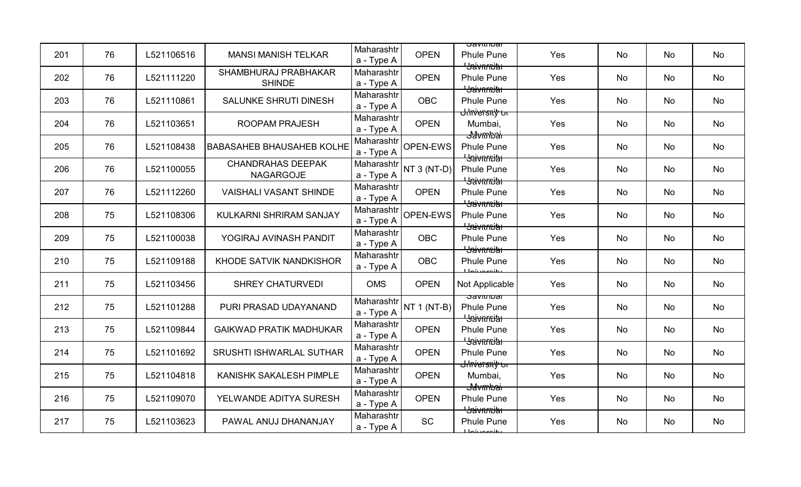| 201 | 76 | L521106516 | <b>MANSI MANISH TELKAR</b>                   | Maharashtr<br>a - Type A | <b>OPEN</b>   | <u>उत्रvापाण्वा</u><br><b>Phule Pune</b>                   | Yes | No        | <b>No</b> | No |
|-----|----|------------|----------------------------------------------|--------------------------|---------------|------------------------------------------------------------|-----|-----------|-----------|----|
| 202 | 76 | L521111220 | SHAMBHURAJ PRABHAKAR<br><b>SHINDE</b>        | Maharashtr<br>a - Type A | <b>OPEN</b>   | <del>' Jaivarniar</del><br><b>Phule Pune</b>               | Yes | No        | No        | No |
| 203 | 76 | L521110861 | SALUNKE SHRUTI DINESH                        | Maharashtr<br>a - Type A | <b>OBC</b>    | <b>L</b> Saivarnitat<br><b>Phule Pune</b>                  | Yes | <b>No</b> | No        | No |
| 204 | 76 | L521103651 | <b>ROOPAM PRAJESH</b>                        | Maharashtr<br>a - Type A | <b>OPEN</b>   | <del>Ulnversniy ur</del><br>Mumbai,<br><del>J⁄avmbai</del> | Yes | <b>No</b> | <b>No</b> | No |
| 205 | 76 | L521108438 | <b>BABASAHEB BHAUSAHEB KOLHE</b>             | Maharashtr<br>a - Type A | OPEN-EWS      | <b>Phule Pune</b><br><b>L</b> Saivarnia                    | Yes | No        | No        | No |
| 206 | 76 | L521100055 | <b>CHANDRAHAS DEEPAK</b><br><b>NAGARGOJE</b> | Maharashtr<br>a - Type A | NT $3$ (NT-D) | <b>Phule Pune</b><br><b>L</b> aivarnia                     | Yes | No        | No        | No |
| 207 | 76 | L521112260 | <b>VAISHALI VASANT SHINDE</b>                | Maharashtr<br>a - Type A | <b>OPEN</b>   | <b>Phule Pune</b><br><del>' Jaivarniar</del>               | Yes | No        | No        | No |
| 208 | 75 | L521108306 | KULKARNI SHRIRAM SANJAY                      | Maharashtr<br>a - Type A | OPEN-EWS      | <b>Phule Pune</b><br><b>Havarnia</b>                       | Yes | No        | No        | No |
| 209 | 75 | L521100038 | YOGIRAJ AVINASH PANDIT                       | Maharashtr<br>a - Type A | <b>OBC</b>    | <b>Phule Pune</b><br><del>' Jaivnrniar</del>               | Yes | No        | <b>No</b> | No |
| 210 | 75 | L521109188 | KHODE SATVIK NANDKISHOR                      | Maharashtr<br>a - Type A | <b>OBC</b>    | <b>Phule Pune</b><br>يبانوعون بأولا                        | Yes | No        | <b>No</b> | No |
| 211 | 75 | L521103456 | <b>SHREY CHATURVEDI</b>                      | <b>OMS</b>               | <b>OPEN</b>   | Not Applicable                                             | Yes | No        | No        | No |
| 212 | 75 | L521101288 | PURI PRASAD UDAYANAND                        | Maharashtr<br>a - Type A | NT $1$ (NT-B) | उवणाााण्वा<br><b>Phule Pune</b><br><del>' Jaivnmiar'</del> | Yes | No        | No        | No |
| 213 | 75 | L521109844 | <b>GAIKWAD PRATIK MADHUKAR</b>               | Maharashtr<br>a - Type A | <b>OPEN</b>   | <b>Phule Pune</b><br><del>' Jaivnrniar</del>               | Yes | No        | No        | No |
| 214 | 75 | L521101692 | <b>SRUSHTI ISHWARLAL SUTHAR</b>              | Maharashtr<br>a - Type A | <b>OPEN</b>   | <b>Phule Pune</b><br><del>Ulnversniy ur</del>              | Yes | No        | No        | No |
| 215 | 75 | L521104818 | KANISHK SAKALESH PIMPLE                      | Maharashtr<br>a - Type A | <b>OPEN</b>   | Mumbai,<br><del>J4vmbai</del>                              | Yes | No        | No        | No |
| 216 | 75 | L521109070 | YELWANDE ADITYA SURESH                       | Maharashtr<br>a - Type A | <b>OPEN</b>   | <b>Phule Pune</b><br><del>'Jaivarniar</del>                | Yes | No        | No        | No |
| 217 | 75 | L521103623 | PAWAL ANUJ DHANANJAY                         | Maharashtr<br>a - Type A | <b>SC</b>     | <b>Phule Pune</b><br>بانمع مبرنا ملك                       | Yes | No        | No        | No |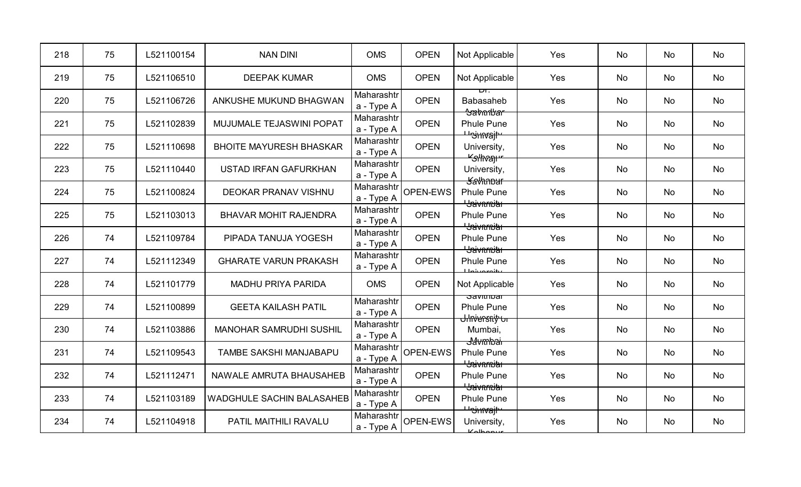| 218 | 75 | L521100154 | <b>NAN DINI</b>                  | <b>OMS</b>               | <b>OPEN</b> | Not Applicable                                              | Yes | No        | No | No |
|-----|----|------------|----------------------------------|--------------------------|-------------|-------------------------------------------------------------|-----|-----------|----|----|
| 219 | 75 | L521106510 | <b>DEEPAK KUMAR</b>              | <b>OMS</b>               | <b>OPEN</b> | Not Applicable                                              | Yes | <b>No</b> | No | No |
| 220 | 75 | L521106726 | ANKUSHE MUKUND BHAGWAN           | Maharashtr<br>a - Type A | <b>OPEN</b> | <b>Babasaheb</b><br><del>Sabarbar</del>                     | Yes | <b>No</b> | No | No |
| 221 | 75 | L521102839 | MUJUMALE TEJASWINI POPAT         | Maharashtr<br>a - Type A | <b>OPEN</b> | <b>Phule Pune</b>                                           | Yes | <b>No</b> | No | No |
| 222 | 75 | L521110698 | <b>BHOITE MAYURESH BHASKAR</b>   | Maharashtr<br>a - Type A | <b>OPEN</b> | <del>Unimajh</del><br>University,<br><del>"Glhvan"</del>    | Yes | <b>No</b> | No | No |
| 223 | 75 | L521110440 | <b>USTAD IRFAN GAFURKHAN</b>     | Maharashtr<br>a - Type A | <b>OPEN</b> | University,<br><b>Kalhnbur</b>                              | Yes | No        | No | No |
| 224 | 75 | L521100824 | <b>DEOKAR PRANAV VISHNU</b>      | Maharashtr<br>a - Type A | OPEN-EWS    | <b>Phule Pune</b><br><b>L</b> Saivarnitat                   | Yes | <b>No</b> | No | No |
| 225 | 75 | L521103013 | <b>BHAVAR MOHIT RAJENDRA</b>     | Maharashtr<br>a - Type A | <b>OPEN</b> | <b>Phule Pune</b><br><del>' Jaivnrniar</del>                | Yes | <b>No</b> | No | No |
| 226 | 74 | L521109784 | PIPADA TANUJA YOGESH             | Maharashtr<br>a - Type A | <b>OPEN</b> | <b>Phule Pune</b><br><del>' Jaivnrniar</del>                | Yes | No        | No | No |
| 227 | 74 | L521112349 | <b>GHARATE VARUN PRAKASH</b>     | Maharashtr<br>a - Type A | <b>OPEN</b> | <b>Phule Pune</b><br>Llniveroity                            | Yes | <b>No</b> | No | No |
| 228 | 74 | L521101779 | <b>MADHU PRIYA PARIDA</b>        | <b>OMS</b>               | <b>OPEN</b> | Not Applicable                                              | Yes | <b>No</b> | No | No |
| 229 | 74 | L521100899 | <b>GEETA KAILASH PATIL</b>       | Maharashtr<br>a - Type A | <b>OPEN</b> | ਹavit⊓i∪ai<br><b>Phule Pune</b><br><del>Ulnversniy ur</del> | Yes | <b>No</b> | No | No |
| 230 | 74 | L521103886 | <b>MANOHAR SAMRUDHI SUSHIL</b>   | Maharashtr<br>a - Type A | <b>OPEN</b> | Mumbai,<br><del>Javmbai</del>                               | Yes | No        | No | No |
| 231 | 74 | L521109543 | TAMBE SAKSHI MANJABAPU           | Maharashtr<br>a - Type A | OPEN-EWS    | <b>Phule Pune</b><br><del>' Jaivarniar</del>                | Yes | No        | No | No |
| 232 | 74 | L521112471 | NAWALE AMRUTA BHAUSAHEB          | Maharashtr<br>a - Type A | <b>OPEN</b> | <b>Phule Pune</b><br><del>' Jaivarniar</del>                | Yes | <b>No</b> | No | No |
| 233 | 74 | L521103189 | <b>WADGHULE SACHIN BALASAHEB</b> | Maharashtr<br>a - Type A | <b>OPEN</b> | <b>Phule Pune</b><br><del><sup>⊥ u</sup>ojmrajt</del>       | Yes | <b>No</b> | No | No |
| 234 | 74 | L521104918 | PATIL MAITHILI RAVALU            | Maharashtr<br>a - Type A | OPEN-EWS    | University,<br>Kolbonur                                     | Yes | No        | No | No |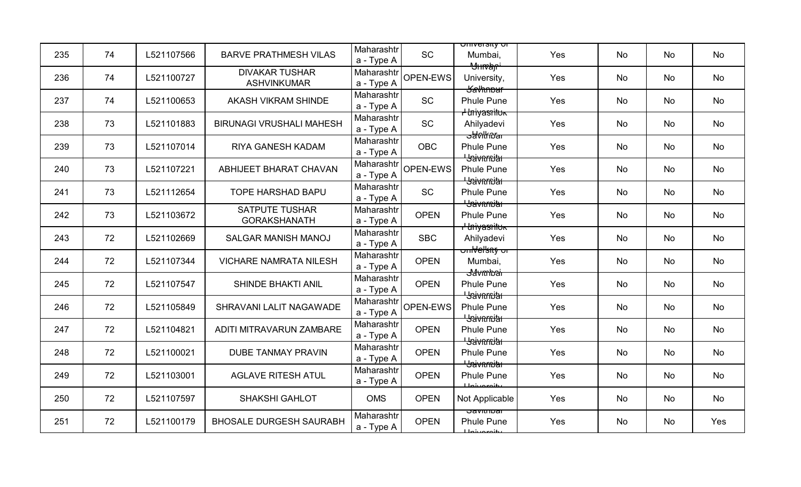| 235 | 74 | L521107566 | <b>BARVE PRATHMESH VILAS</b>                 | Maharashtr               | <b>SC</b>   | <del>omversity or</del><br>Mumbai,                                       | Yes | No | No | No  |
|-----|----|------------|----------------------------------------------|--------------------------|-------------|--------------------------------------------------------------------------|-----|----|----|-----|
|     |    |            |                                              | a - Type A               |             | <del>'Ylıman'</del>                                                      |     |    |    |     |
| 236 | 74 | L521100727 | <b>DIVAKAR TUSHAR</b><br><b>ASHVINKUMAR</b>  | Maharashtr<br>a - Type A | OPEN-EWS    | University,<br><del>Savhnbur</del>                                       | Yes | No | No | No  |
| 237 | 74 | L521100653 | AKASH VIKRAM SHINDE                          | Maharashtr<br>a - Type A | <b>SC</b>   | Phule Pune                                                               | Yes | No | No | No  |
| 238 | 73 | L521101883 | <b>BIRUNAGI VRUSHALI MAHESH</b>              | Maharashtr<br>a - Type A | <b>SC</b>   | <del>I Uniyasnituk</del><br>Ahilyadevi                                   | Yes | No | No | No  |
| 239 | 73 | L521107014 | RIYA GANESH KADAM                            | Maharashtr<br>a - Type A | <b>OBC</b>  | <del>ਤਰਨੀ ਅਗ</del><br><b>Phule Pune</b>                                  | Yes | No | No | No  |
| 240 | 73 | L521107221 | <b>ABHIJEET BHARAT CHAVAN</b>                | Maharashtr<br>a - Type A | OPEN-EWS    | <del>' Jaivarniar</del><br>Phule Pune                                    | Yes | No | No | No  |
| 241 | 73 | L521112654 | <b>TOPE HARSHAD BAPU</b>                     | Maharashtr<br>a - Type A | <b>SC</b>   | <del>' Jaivnrniar'</del><br><b>Phule Pune</b><br><del>' Jaivnrniar</del> | Yes | No | No | No  |
| 242 | 73 | L521103672 | <b>SATPUTE TUSHAR</b><br><b>GORAKSHANATH</b> | Maharashtr<br>a - Type A | <b>OPEN</b> | <b>Phule Pune</b>                                                        | Yes | No | No | No  |
| 243 | 72 | L521102669 | <b>SALGAR MANISH MANOJ</b>                   | Maharashtr<br>a - Type A | <b>SBC</b>  | <del>I Iniyasnituk</del><br>Ahilyadevi                                   | Yes | No | No | No  |
| 244 | 72 | L521107344 | <b>VICHARE NAMRATA NILESH</b>                | Maharashtr<br>a - Type A | <b>OPEN</b> | <del>onNel'sny or</del><br>Mumbai,<br><del>J4vmbai</del>                 | Yes | No | No | No  |
| 245 | 72 | L521107547 | SHINDE BHAKTI ANIL                           | Maharashtr<br>a - Type A | <b>OPEN</b> | <b>Phule Pune</b><br><b>L</b> Saivarnia                                  | Yes | No | No | No  |
| 246 | 72 | L521105849 | SHRAVANI LALIT NAGAWADE                      | Maharashtr<br>a - Type A | OPEN-EWS    | <b>Phule Pune</b><br><del>' Jaivnrniar</del>                             | Yes | No | No | No  |
| 247 | 72 | L521104821 | ADITI MITRAVARUN ZAMBARE                     | Maharashtr<br>a - Type A | <b>OPEN</b> | <b>Phule Pune</b><br><b>L</b> Saivarnitar                                | Yes | No | No | No  |
| 248 | 72 | L521100021 | <b>DUBE TANMAY PRAVIN</b>                    | Maharashtr<br>a - Type A | <b>OPEN</b> | <b>Phule Pune</b><br><b>Baivarnith</b>                                   | Yes | No | No | No  |
| 249 | 72 | L521103001 | <b>AGLAVE RITESH ATUL</b>                    | Maharashtr<br>a - Type A | <b>OPEN</b> | Phule Pune<br>ببانمعميناط                                                | Yes | No | No | No  |
| 250 | 72 | L521107597 | <b>SHAKSHI GAHLOT</b>                        | <b>OMS</b>               | <b>OPEN</b> | Not Applicable                                                           | Yes | No | No | No  |
| 251 | 72 | L521100179 | <b>BHOSALE DURGESH SAURABH</b>               | Maharashtr<br>a - Type A | <b>OPEN</b> | <u>उत्रvाता</u> ण्वा<br><b>Phule Pune</b><br>بانمع مستمليل               | Yes | No | No | Yes |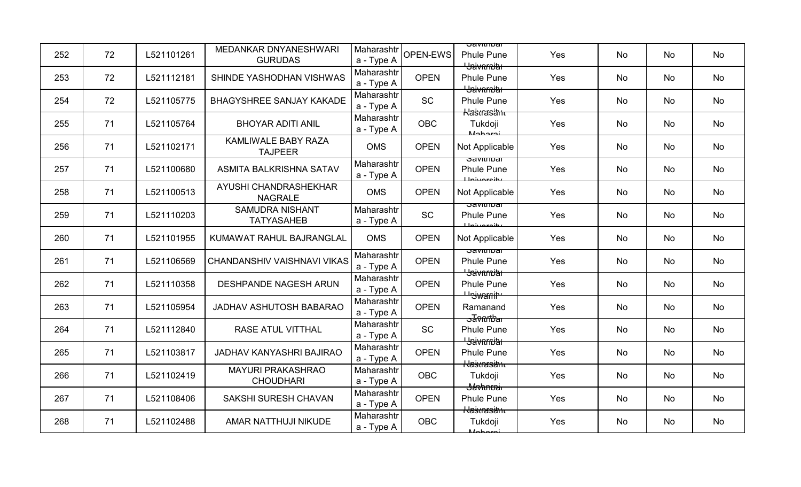| 252 | 72 | L521101261 | MEDANKAR DNYANESHWARI<br><b>GURUDAS</b>      | Maharashtr<br>a - Type A | OPEN-EWS    | <u>उत्रणाााण्वा</u><br><b>Phule Pune</b><br><del>' Jaivarniar</del> | Yes | No        | No        | No |
|-----|----|------------|----------------------------------------------|--------------------------|-------------|---------------------------------------------------------------------|-----|-----------|-----------|----|
| 253 | 72 | L521112181 | SHINDE YASHODHAN VISHWAS                     | Maharashtr<br>a - Type A | <b>OPEN</b> | <b>Phule Pune</b><br><b>L</b> Saivarnitat                           | Yes | No        | No        | No |
| 254 | 72 | L521105775 | <b>BHAGYSHREE SANJAY KAKADE</b>              | Maharashtr<br>a - Type A | <b>SC</b>   | <b>Phule Pune</b><br><del>Klaštrasähte</del>                        | Yes | <b>No</b> | No        | No |
| 255 | 71 | L521105764 | <b>BHOYAR ADITI ANIL</b>                     | Maharashtr<br>a - Type A | <b>OBC</b>  | Tukdoji<br><b>Mohoroj</b>                                           | Yes | <b>No</b> | <b>No</b> | No |
| 256 | 71 | L521102171 | KAMLIWALE BABY RAZA<br><b>TAJPEER</b>        | <b>OMS</b>               | <b>OPEN</b> | Not Applicable                                                      | Yes | No        | No        | No |
| 257 | 71 | L521100680 | ASMITA BALKRISHNA SATAV                      | Maharashtr<br>a - Type A | <b>OPEN</b> | उवणाााण्वा<br><b>Phule Pune</b><br>Llohroroity                      | Yes | No        | No        | No |
| 258 | 71 | L521100513 | AYUSHI CHANDRASHEKHAR<br><b>NAGRALE</b>      | <b>OMS</b>               | <b>OPEN</b> | Not Applicable                                                      | Yes | No        | No        | No |
| 259 | 71 | L521110203 | <b>SAMUDRA NISHANT</b><br><b>TATYASAHEB</b>  | Maharashtr<br>a - Type A | <b>SC</b>   | <u>oavitiibar</u><br><b>Phule Pune</b><br>بانمعميناط                | Yes | <b>No</b> | No        | No |
| 260 | 71 | L521101955 | KUMAWAT RAHUL BAJRANGLAL                     | <b>OMS</b>               | <b>OPEN</b> | Not Applicable                                                      | Yes | No        | <b>No</b> | No |
| 261 | 71 | L521106569 | CHANDANSHIV VAISHNAVI VIKAS                  | Maharashtr<br>a - Type A | <b>OPEN</b> | ਤਰvitribar<br><b>Phule Pune</b><br><del>' Jaivarniar</del>          | Yes | No        | No        | No |
| 262 | 71 | L521110358 | <b>DESHPANDE NAGESH ARUN</b>                 | Maharashtr<br>a - Type A | <b>OPEN</b> | <b>Phule Pune</b><br><del>Uniwanit</del>                            | Yes | No        | No        | No |
| 263 | 71 | L521105954 | <b>JADHAV ASHUTOSH BABARAO</b>               | Maharashtr<br>a - Type A | <b>OPEN</b> | Ramanand<br><del>ਤਰੋ0ftbar</del>                                    | Yes | No        | No        | No |
| 264 | 71 | L521112840 | RASE ATUL VITTHAL                            | Maharashtr<br>a - Type A | SC          | <b>Phule Pune</b><br><del>' Jaivarniar</del>                        | Yes | No        | No        | No |
| 265 | 71 | L521103817 | <b>JADHAV KANYASHRI BAJIRAO</b>              | Maharashtr<br>a - Type A | <b>OPEN</b> | <b>Phule Pune</b><br><del>Klaštrasämu</del>                         | Yes | <b>No</b> | No        | No |
| 266 | 71 | L521102419 | <b>MAYURI PRAKASHRAO</b><br><b>CHOUDHARI</b> | Maharashtr<br>a - Type A | <b>OBC</b>  | Tukdoji<br><del>Javhnnai</del>                                      | Yes | No        | No        | No |
| 267 | 71 | L521108406 | SAKSHI SURESH CHAVAN                         | Maharashtr<br>a - Type A | <b>OPEN</b> | <b>Phule Pune</b><br><del>Klastnasäme</del>                         | Yes | No        | No        | No |
| 268 | 71 | L521102488 | AMAR NATTHUJI NIKUDE                         | Maharashtr<br>a - Type A | <b>OBC</b>  | Tukdoji                                                             | Yes | No        | No        | No |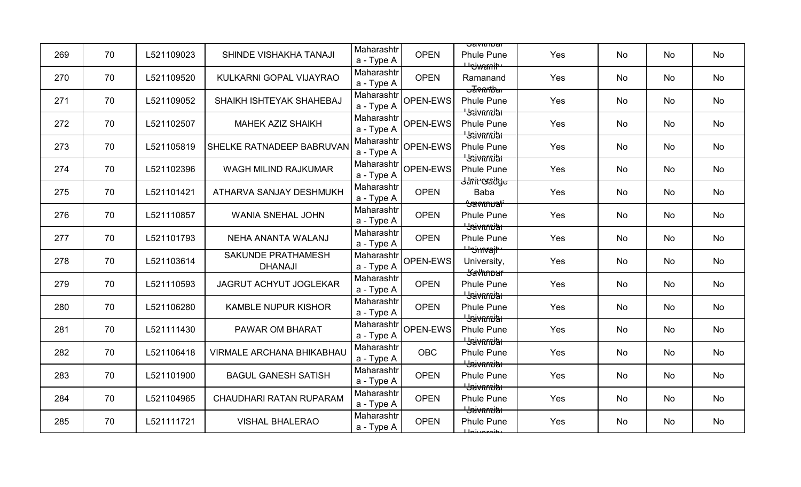| 269 | 70 | L521109023 | SHINDE VISHAKHA TANAJI               | Maharashtr<br>a - Type A | <b>OPEN</b> | <u> Javitiivar</u><br><b>Phule Pune</b><br><del>Uniwanit</del> | Yes | <b>No</b> | No | No |
|-----|----|------------|--------------------------------------|--------------------------|-------------|----------------------------------------------------------------|-----|-----------|----|----|
| 270 | 70 | L521109520 | KULKARNI GOPAL VIJAYRAO              | Maharashtr<br>a - Type A | <b>OPEN</b> | Ramanand<br><del>ਤਰ</del> ੋਂ ਅੇਜ਼ੀਏ ਕ                          | Yes | No        | No | No |
| 271 | 70 | L521109052 | SHAIKH ISHTEYAK SHAHEBAJ             | Maharashtr<br>a - Type A | OPEN-EWS    | <b>Phule Pune</b><br><del>' Jaivarniar</del>                   | Yes | No        | No | No |
| 272 | 70 | L521102507 | <b>MAHEK AZIZ SHAIKH</b>             | Maharashtr<br>a - Type A | OPEN-EWS    | <b>Phule Pune</b><br><del>' Jaivnmiar</del>                    | Yes | <b>No</b> | No | No |
| 273 | 70 | L521105819 | SHELKE RATNADEEP BABRUVAN            | Maharashtr<br>a - Type A | OPEN-EWS    | <b>Phule Pune</b><br><b>Haivnmith</b>                          | Yes | <b>No</b> | No | No |
| 274 | 70 | L521102396 | WAGH MILIND RAJKUMAR                 | Maharashtr<br>a - Type A | OPEN-EWS    | <b>Phule Pune</b>                                              | Yes | No        | No | No |
| 275 | 70 | L521101421 | ATHARVA SANJAY DESHMUKH              | Maharashtr<br>a - Type A | <b>OPEN</b> | <del>Janiroradye</del><br><b>Baba</b><br><del>'Savmuati'</del> | Yes | No        | No | No |
| 276 | 70 | L521110857 | <b>WANIA SNEHAL JOHN</b>             | Maharashtr<br>a - Type A | <b>OPEN</b> | <b>Phule Pune</b><br><b>Baivnmith</b>                          | Yes | No        | No | No |
| 277 | 70 | L521101793 | NEHA ANANTA WALANJ                   | Maharashtr<br>a - Type A | <b>OPEN</b> | <b>Phule Pune</b><br><del>⊔sinvajt</del>                       | Yes | <b>No</b> | No | No |
| 278 | 70 | L521103614 | SAKUNDE PRATHAMESH<br><b>DHANAJI</b> | Maharashtr<br>a - Type A | OPEN-EWS    | University,<br><b>Kathnbur</b>                                 | Yes | No        | No | No |
| 279 | 70 | L521110593 | <b>JAGRUT ACHYUT JOGLEKAR</b>        | Maharashtr<br>a - Type A | <b>OPEN</b> | <b>Phule Pune</b><br><b>Havarnia</b>                           | Yes | No        | No | No |
| 280 | 70 | L521106280 | <b>KAMBLE NUPUR KISHOR</b>           | Maharashtr<br>a - Type A | <b>OPEN</b> | <b>Phule Pune</b><br><del>' Jaivnmiar</del>                    | Yes | No        | No | No |
| 281 | 70 | L521111430 | PAWAR OM BHARAT                      | Maharashtr<br>a - Type A | OPEN-EWS    | <b>Phule Pune</b><br><del>' Jaivarniar</del>                   | Yes | No        | No | No |
| 282 | 70 | L521106418 | <b>VIRMALE ARCHANA BHIKABHAU</b>     | Maharashtr<br>a - Type A | <b>OBC</b>  | <b>Phule Pune</b><br><del>' Jaivarniar</del>                   | Yes | No        | No | No |
| 283 | 70 | L521101900 | <b>BAGUL GANESH SATISH</b>           | Maharashtr<br>a - Type A | <b>OPEN</b> | <b>Phule Pune</b><br><del>' Jaivarniar</del>                   | Yes | <b>No</b> | No | No |
| 284 | 70 | L521104965 | <b>CHAUDHARI RATAN RUPARAM</b>       | Maharashtr<br>a - Type A | <b>OPEN</b> | <b>Phule Pune</b><br><del>' Jaivarniar</del>                   | Yes | No        | No | No |
| 285 | 70 | L521111721 | <b>VISHAL BHALERAO</b>               | Maharashtr<br>a - Type A | <b>OPEN</b> | <b>Phule Pune</b><br>للمعميشمل                                 | Yes | No        | No | No |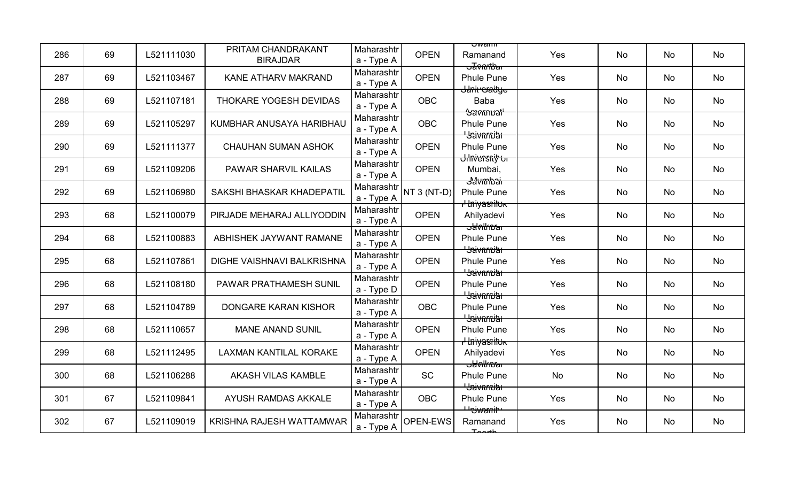| 286 | 69 | L521111030 | PRITAM CHANDRAKANT<br><b>BIRAJDAR</b> | Maharashtr<br>a - Type A | <b>OPEN</b> | ਹwam<br>Ramanand<br><del>ਤਰγ∩∩ਇੰਕ</del> ਾ     | Yes | No        | No        | No |
|-----|----|------------|---------------------------------------|--------------------------|-------------|-----------------------------------------------|-----|-----------|-----------|----|
| 287 | 69 | L521103467 | KANE ATHARV MAKRAND                   | Maharashtr<br>a - Type A | <b>OPEN</b> | <b>Phule Pune</b><br><del>Jani oradye</del>   | Yes | No        | No        | No |
| 288 | 69 | L521107181 | THOKARE YOGESH DEVIDAS                | Maharashtr<br>a - Type A | <b>OBC</b>  | Baba<br><del>Savmuali</del>                   | Yes | <b>No</b> | No        | No |
| 289 | 69 | L521105297 | KUMBHAR ANUSAYA HARIBHAU              | Maharashtr<br>a - Type A | <b>OBC</b>  | <b>Phule Pune</b><br><del>' Jaivnrniar</del>  | Yes | <b>No</b> | <b>No</b> | No |
| 290 | 69 | L521111377 | <b>CHAUHAN SUMAN ASHOK</b>            | Maharashtr<br>a - Type A | <b>OPEN</b> | <b>Phule Pune</b><br><del>Ulniersniț ur</del> | Yes | No        | No        | No |
| 291 | 69 | L521109206 | PAWAR SHARVIL KAILAS                  | Maharashtr<br>a - Type A | <b>OPEN</b> | Mumbai,<br><del>J4vmbai</del>                 | Yes | No        | No        | No |
| 292 | 69 | L521106980 | SAKSHI BHASKAR KHADEPATIL             | Maharashtr<br>a - Type A | NT 3 (NT-D) | <b>Phule Pune</b><br><del>, Iniyasnitok</del> | Yes | No        | No        | No |
| 293 | 68 | L521100079 | PIRJADE MEHARAJ ALLIYODDIN            | Maharashtr<br>a - Type A | <b>OPEN</b> | Ahilyadevi<br><del>obolkna</del>              | Yes | <b>No</b> | No        | No |
| 294 | 68 | L521100883 | ABHISHEK JAYWANT RAMANE               | Maharashtr<br>a - Type A | <b>OPEN</b> | <b>Phule Pune</b><br><del>' Jaivnmiar</del>   | Yes | No        | <b>No</b> | No |
| 295 | 68 | L521107861 | <b>DIGHE VAISHNAVI BALKRISHNA</b>     | Maharashtr<br>a - Type A | <b>OPEN</b> | <b>Phule Pune</b><br><del>Usivarnitar</del>   | Yes | No        | No        | No |
| 296 | 68 | L521108180 | PAWAR PRATHAMESH SUNIL                | Maharashtr<br>a - Type D | <b>OPEN</b> | <b>Phule Pune</b><br><b>L</b> aivarnia        | Yes | <b>No</b> | No        | No |
| 297 | 68 | L521104789 | DONGARE KARAN KISHOR                  | Maharashtr<br>a - Type A | <b>OBC</b>  | <b>Phule Pune</b><br><del>Usivarniar</del>    | Yes | No        | No        | No |
| 298 | 68 | L521110657 | <b>MANE ANAND SUNIL</b>               | Maharashtr<br>a - Type A | <b>OPEN</b> | <b>Phule Pune</b><br><del>I Iniyasnituk</del> | Yes | No        | No        | No |
| 299 | 68 | L521112495 | <b>LAXMAN KANTILAL KORAKE</b>         | Maharashtr<br>a - Type A | <b>OPEN</b> | Ahilyadevi<br><del>sawlknar</del>             | Yes | No        | No        | No |
| 300 | 68 | L521106288 | <b>AKASH VILAS KAMBLE</b>             | Maharashtr<br>a - Type A | <b>SC</b>   | <b>Phule Pune</b><br><del>' Jaivarniar</del>  | No  | No        | No        | No |
| 301 | 67 | L521109841 | AYUSH RAMDAS AKKALE                   | Maharashtr<br>a - Type A | <b>OBC</b>  | <b>Phule Pune</b><br><del>Uniwanit</del>      | Yes | No        | No        | No |
| 302 | 67 | L521109019 | <b>KRISHNA RAJESH WATTAMWAR</b>       | Maharashtr<br>a - Type A | OPEN-EWS    | Ramanand<br>Toorth                            | Yes | No        | No        | No |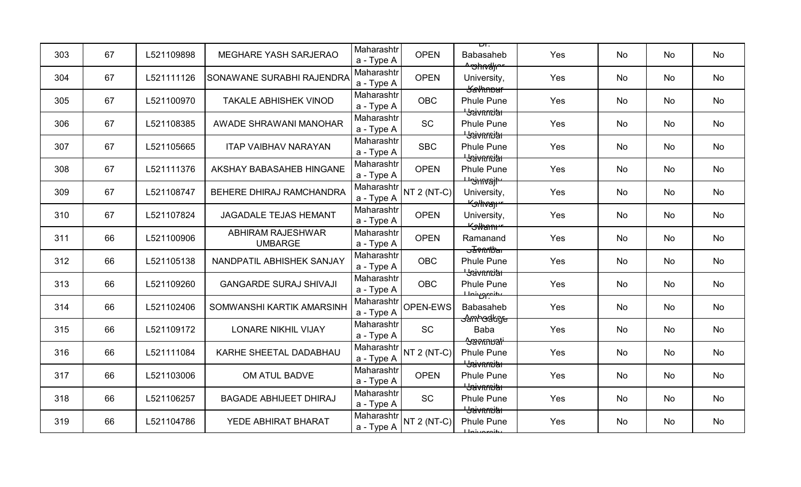| 303 | 67 | L521109898 | MEGHARE YASH SARJERAO                      | Maharashtr<br>a - Type A | <b>OPEN</b>        | ᄞ<br><b>Babasaheb</b>                                    | Yes | No        | No        | No |
|-----|----|------------|--------------------------------------------|--------------------------|--------------------|----------------------------------------------------------|-----|-----------|-----------|----|
| 304 | 67 | L521111126 | SONAWANE SURABHI RAJENDRA                  | Maharashtr<br>a - Type A | <b>OPEN</b>        | <del>^უhიქცი</del><br>University,<br><del>Savhnbur</del> | Yes | No        | No        | No |
| 305 | 67 | L521100970 | <b>TAKALE ABHISHEK VINOD</b>               | Maharashtr<br>a - Type A | <b>OBC</b>         | <b>Phule Pune</b><br><del>' Jaivnmiar</del>              | Yes | <b>No</b> | No        | No |
| 306 | 67 | L521108385 | AWADE SHRAWANI MANOHAR                     | Maharashtr<br>a - Type A | <b>SC</b>          | <b>Phule Pune</b><br><del>' Jaivnrniar</del>             | Yes | <b>No</b> | <b>No</b> | No |
| 307 | 67 | L521105665 | <b>ITAP VAIBHAV NARAYAN</b>                | Maharashtr<br>a - Type A | <b>SBC</b>         | <b>Phule Pune</b><br><b>L</b> Saivarnia                  | Yes | No        | No        | No |
| 308 | 67 | L521111376 | AKSHAY BABASAHEB HINGANE                   | Maharashtr<br>a - Type A | <b>OPEN</b>        | <b>Phule Pune</b><br><del>⊔sinvajt</del>                 | Yes | No        | No        | No |
| 309 | 67 | L521108747 | BEHERE DHIRAJ RAMCHANDRA                   | Maharashtr<br>a - Type A | $NT 2 (NT-C)$      | University,<br><del>"Silhvaji"</del>                     | Yes | No        | No        | No |
| 310 | 67 | L521107824 | JAGADALE TEJAS HEMANT                      | Maharashtr<br>a - Type A | <b>OPEN</b>        | University,<br><del>"∕sllanı"</del>                      | Yes | <b>No</b> | No        | No |
| 311 | 66 | L521100906 | <b>ABHIRAM RAJESHWAR</b><br><b>UMBARGE</b> | Maharashtr<br>a - Type A | <b>OPEN</b>        | Ramanand<br><del>ਤਰ√n∩tbar</del>                         | Yes | No        | <b>No</b> | No |
| 312 | 66 | L521105138 | NANDPATIL ABHISHEK SANJAY                  | Maharashtr<br>a - Type A | <b>OBC</b>         | <b>Phule Pune</b><br><del>Usivarnitar</del>              | Yes | No        | No        | No |
| 313 | 66 | L521109260 | <b>GANGARDE SURAJ SHIVAJI</b>              | Maharashtr<br>a - Type A | <b>OBC</b>         | <b>Phule Pune</b><br>بعنصور فللمستعين                    | Yes | <b>No</b> | No        | No |
| 314 | 66 | L521102406 | SOMWANSHI KARTIK AMARSINH                  | Maharashtr<br>a - Type A | OPEN-EWS           | <b>Babasaheb</b><br><del>Samhodkge</del>                 | Yes | No        | No        | No |
| 315 | 66 | L521109172 | <b>LONARE NIKHIL VIJAY</b>                 | Maharashtr<br>a - Type A | <b>SC</b>          | Baba<br><del>'Savmuati'</del>                            | Yes | No        | No        | No |
| 316 | 66 | L521111084 | KARHE SHEETAL DADABHAU                     | Maharashtr<br>a - Type A | <b>NT 2 (NT-C)</b> | <b>Phule Pune</b><br><del>' Jaivnmiar</del>              | Yes | No        | No        | No |
| 317 | 66 | L521103006 | OM ATUL BADVE                              | Maharashtr<br>a - Type A | <b>OPEN</b>        | <b>Phule Pune</b><br><del>' Jaivarniar</del>             | Yes | No        | No        | No |
| 318 | 66 | L521106257 | <b>BAGADE ABHIJEET DHIRAJ</b>              | Maharashtr<br>a - Type A | SC                 | <b>Phule Pune</b><br><del>'Jaivarniar</del>              | Yes | No        | No        | No |
| 319 | 66 | L521104786 | YEDE ABHIRAT BHARAT                        | Maharashtr<br>a - Type A | NT 2 (NT-C)        | <b>Phule Pune</b><br>بانمع مبرنا ملك                     | Yes | No        | No        | No |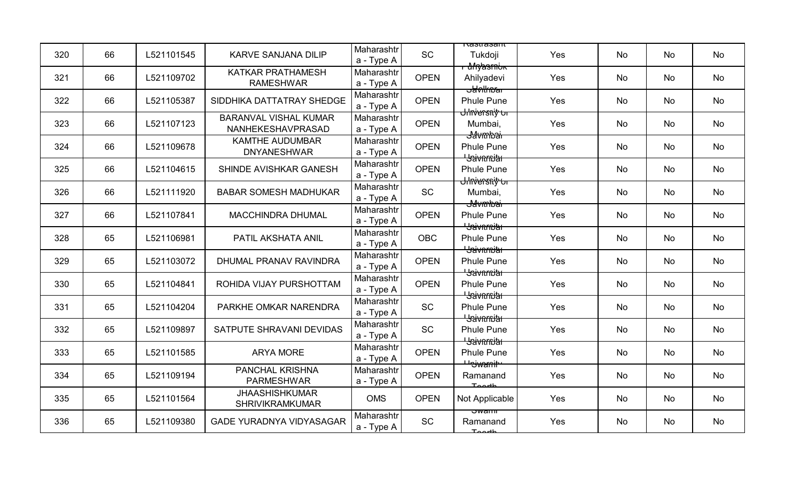| 320 | 66 | L521101545 | <b>KARVE SANJANA DILIP</b>                        | Maharashtr<br>a - Type A | <b>SC</b>   | $\pi$ astrasam<br>Tukdoji                                   | Yes | <b>No</b> | No | No |
|-----|----|------------|---------------------------------------------------|--------------------------|-------------|-------------------------------------------------------------|-----|-----------|----|----|
| 321 | 66 | L521109702 | <b>KATKAR PRATHAMESH</b><br><b>RAMESHWAR</b>      | Maharashtr<br>a - Type A | <b>OPEN</b> | <del>- unyasmun</del><br>Ahilyadevi<br><del>oblylknar</del> | Yes | <b>No</b> | No | No |
| 322 | 66 | L521105387 | SIDDHIKA DATTATRAY SHEDGE                         | Maharashtr<br>a - Type A | <b>OPEN</b> | <b>Phule Pune</b>                                           | Yes | No        | No | No |
| 323 | 66 | L521107123 | <b>BARANVAL VISHAL KUMAR</b><br>NANHEKESHAVPRASAD | Maharashtr<br>a - Type A | <b>OPEN</b> | <del>Ulnversniy ur</del><br>Mumbai,<br><del>J</del> avmbar  | Yes | <b>No</b> | No | No |
| 324 | 66 | L521109678 | <b>KAMTHE AUDUMBAR</b><br><b>DNYANESHWAR</b>      | Maharashtr<br>a - Type A | <b>OPEN</b> | <b>Phule Pune</b><br><del>' Jaivnrniar</del>                | Yes | <b>No</b> | No | No |
| 325 | 66 | L521104615 | SHINDE AVISHKAR GANESH                            | Maharashtr<br>a - Type A | <b>OPEN</b> | <b>Phule Pune</b>                                           | Yes | No        | No | No |
| 326 | 66 | L521111920 | <b>BABAR SOMESH MADHUKAR</b>                      | Maharashtr<br>a - Type A | <b>SC</b>   | <del>Ulniersniț ur</del><br>Mumbai,<br><del>J</del> avmbar  | Yes | <b>No</b> | No | No |
| 327 | 66 | L521107841 | MACCHINDRA DHUMAL                                 | Maharashtr<br>a - Type A | <b>OPEN</b> | <b>Phule Pune</b><br><del>' Jaivarniar</del>                | Yes | No        | No | No |
| 328 | 65 | L521106981 | PATIL AKSHATA ANIL                                | Maharashtr<br>a - Type A | <b>OBC</b>  | <b>Phule Pune</b><br><del>' Jaivnmiar</del>                 | Yes | <b>No</b> | No | No |
| 329 | 65 | L521103072 | DHUMAL PRANAV RAVINDRA                            | Maharashtr<br>a - Type A | <b>OPEN</b> | <b>Phule Pune</b><br><b>Haivarnith</b>                      | Yes | <b>No</b> | No | No |
| 330 | 65 | L521104841 | ROHIDA VIJAY PURSHOTTAM                           | Maharashtr<br>a - Type A | <b>OPEN</b> | <b>Phule Pune</b><br><b>L</b> Saivarnitat                   | Yes | <b>No</b> | No | No |
| 331 | 65 | L521104204 | PARKHE OMKAR NARENDRA                             | Maharashtr<br>a - Type A | <b>SC</b>   | <b>Phule Pune</b><br><del>' Jaivnmiar</del>                 | Yes | <b>No</b> | No | No |
| 332 | 65 | L521109897 | SATPUTE SHRAVANI DEVIDAS                          | Maharashtr<br>a - Type A | <b>SC</b>   | <b>Phule Pune</b><br><b>Bavarnital</b>                      | Yes | No        | No | No |
| 333 | 65 | L521101585 | <b>ARYA MORE</b>                                  | Maharashtr<br>a - Type A | <b>OPEN</b> | <b>Phule Pune</b><br><del>Usiwanit</del>                    | Yes | No        | No | No |
| 334 | 65 | L521109194 | <b>PANCHAL KRISHNA</b><br><b>PARMESHWAR</b>       | Maharashtr<br>a - Type A | <b>OPEN</b> | Ramanand<br>Toorth                                          | Yes | <b>No</b> | No | No |
| 335 | 65 | L521101564 | <b>JHAASHISHKUMAR</b><br><b>SHRIVIKRAMKUMAR</b>   | <b>OMS</b>               | <b>OPEN</b> | Not Applicable                                              | Yes | No        | No | No |
| 336 | 65 | L521109380 | <b>GADE YURADNYA VIDYASAGAR</b>                   | Maharashtr<br>a - Type A | <b>SC</b>   | ਹwam<br>Ramanand<br>Toorth                                  | Yes | <b>No</b> | No | No |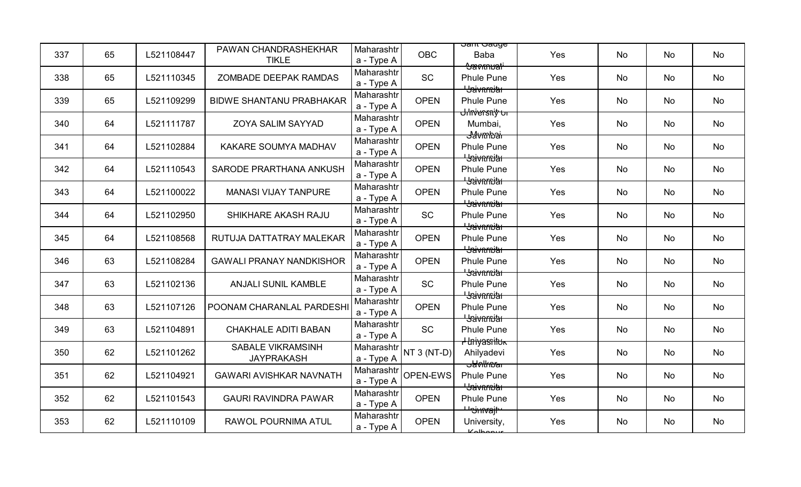| 337 | 65 | L521108447 | PAWAN CHANDRASHEKHAR<br><b>TIKLE</b>          | Maharashtr<br>a - Type A | <b>OBC</b>    | <del>उताात उत्पतुष</del><br><b>Baba</b>                        | Yes | No        | No        | No |
|-----|----|------------|-----------------------------------------------|--------------------------|---------------|----------------------------------------------------------------|-----|-----------|-----------|----|
| 338 | 65 | L521110345 | ZOMBADE DEEPAK RAMDAS                         | Maharashtr<br>a - Type A | <b>SC</b>     | <del>Aavknuati</del><br><b>Phule Pune</b><br><b>Baivarnith</b> | Yes | No        | No        | No |
| 339 | 65 | L521109299 | <b>BIDWE SHANTANU PRABHAKAR</b>               | Maharashtr<br>a - Type A | <b>OPEN</b>   | <b>Phule Pune</b><br><del>Ulnversniy ur</del>                  | Yes | <b>No</b> | No        | No |
| 340 | 64 | L521111787 | <b>ZOYA SALIM SAYYAD</b>                      | Maharashtr<br>a - Type A | <b>OPEN</b>   | Mumbai,<br><del>J4vmbai</del>                                  | Yes | <b>No</b> | <b>No</b> | No |
| 341 | 64 | L521102884 | KAKARE SOUMYA MADHAV                          | Maharashtr<br>a - Type A | <b>OPEN</b>   | <b>Phule Pune</b><br><b>L</b> Saivarnia                        | Yes | No        | No        | No |
| 342 | 64 | L521110543 | SARODE PRARTHANA ANKUSH                       | Maharashtr<br>a - Type A | <b>OPEN</b>   | <b>Phule Pune</b><br><del>Usivarniar</del>                     | Yes | No        | No        | No |
| 343 | 64 | L521100022 | <b>MANASI VIJAY TANPURE</b>                   | Maharashtr<br>a - Type A | <b>OPEN</b>   | <b>Phule Pune</b><br><del>' Jaivarniar</del>                   | Yes | No        | No        | No |
| 344 | 64 | L521102950 | SHIKHARE AKASH RAJU                           | Maharashtr<br>a - Type A | <b>SC</b>     | <b>Phule Pune</b><br><b>Havarnita</b>                          | Yes | No        | No        | No |
| 345 | 64 | L521108568 | RUTUJA DATTATRAY MALEKAR                      | Maharashtr<br>a - Type A | <b>OPEN</b>   | <b>Phule Pune</b><br><del>' Jaivnrniar</del>                   | Yes | No        | No        | No |
| 346 | 63 | L521108284 | <b>GAWALI PRANAY NANDKISHOR</b>               | Maharashtr<br>a - Type A | <b>OPEN</b>   | <b>Phule Pune</b><br><b>Havarnia</b>                           | Yes | No        | No        | No |
| 347 | 63 | L521102136 | <b>ANJALI SUNIL KAMBLE</b>                    | Maharashtr<br>a - Type A | <b>SC</b>     | <b>Phule Pune</b><br><del>' Jaivarnjar</del>                   | Yes | No        | No        | No |
| 348 | 63 | L521107126 | POONAM CHARANLAL PARDESHI                     | Maharashtr<br>a - Type A | <b>OPEN</b>   | <b>Phule Pune</b><br><del>Usivarniar</del>                     | Yes | No        | No        | No |
| 349 | 63 | L521104891 | <b>CHAKHALE ADITI BABAN</b>                   | Maharashtr<br>a - Type A | <b>SC</b>     | <b>Phule Pune</b><br><del>I Iniyasılluk</del>                  | Yes | No        | No        | No |
| 350 | 62 | L521101262 | <b>SABALE VIKRAMSINH</b><br><b>JAYPRAKASH</b> | Maharashtr<br>a - Type A | $NT 3 (NT-D)$ | Ahilyadevi<br><del>sawlkna s</del>                             | Yes | No        | No        | No |
| 351 | 62 | L521104921 | <b>GAWARI AVISHKAR NAVNATH</b>                | Maharashtr<br>a - Type A | OPEN-EWS      | <b>Phule Pune</b><br><del>' Jaivarniar</del>                   | Yes | No        | No        | No |
| 352 | 62 | L521101543 | <b>GAURI RAVINDRA PAWAR</b>                   | Maharashtr<br>a - Type A | <b>OPEN</b>   | <b>Phule Pune</b><br><del>⊔ojmajt</del>                        | Yes | No        | No        | No |
| 353 | 62 | L521110109 | RAWOL POURNIMA ATUL                           | Maharashtr<br>a - Type A | <b>OPEN</b>   | University,<br>Kolbonur                                        | Yes | No        | No        | No |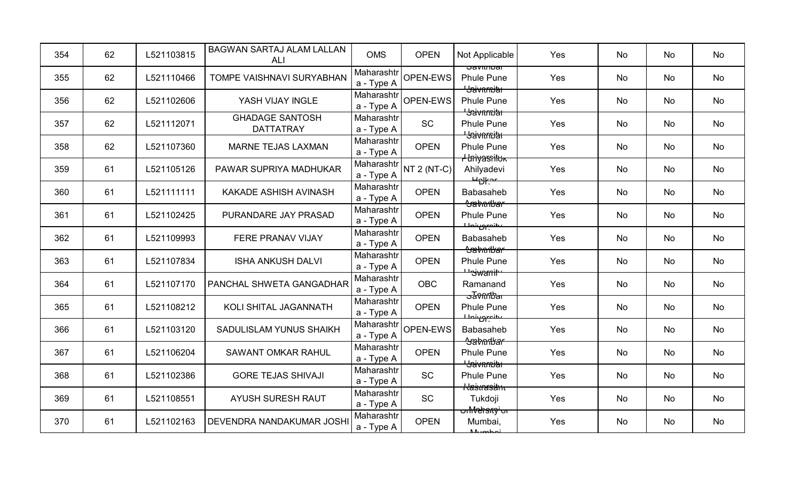| 354 | 62 | L521103815 | BAGWAN SARTAJ ALAM LALLAN<br>ALI           | <b>OMS</b>               | <b>OPEN</b>   | Not Applicable                                            | Yes | No        | No        | No        |
|-----|----|------------|--------------------------------------------|--------------------------|---------------|-----------------------------------------------------------|-----|-----------|-----------|-----------|
| 355 | 62 | L521110466 | TOMPE VAISHNAVI SURYABHAN                  | Maharashtr<br>a - Type A | OPEN-EWS      | oaviui⊍ai<br><b>Phule Pune</b><br><del>' Jaivnrniar</del> | Yes | No        | No        | No        |
| 356 | 62 | L521102606 | YASH VIJAY INGLE                           | Maharashtr<br>a - Type A | OPEN-EWS      | <b>Phule Pune</b><br><b>Baivnmith</b>                     | Yes | No        | No        | No        |
| 357 | 62 | L521112071 | <b>GHADAGE SANTOSH</b><br><b>DATTATRAY</b> | Maharashtr<br>a - Type A | <b>SC</b>     | <b>Phule Pune</b><br><del>' Jaivnmiar</del>               | Yes | No        | No        | No        |
| 358 | 62 | L521107360 | MARNE TEJAS LAXMAN                         | Maharashtr<br>a - Type A | <b>OPEN</b>   | <b>Phule Pune</b><br><del>, Iniyasituk</del>              | Yes | No        | No        | No        |
| 359 | 61 | L521105126 | PAWAR SUPRIYA MADHUKAR                     | Maharashtr<br>a - Type A | $NT 2 (NT-C)$ | Ahilyadevi<br><u> Helker</u>                              | Yes | No        | No        | No        |
| 360 | 61 | L521111111 | KAKADE ASHISH AVINASH                      | Maharashtr<br>a - Type A | <b>OPEN</b>   | <b>Babasaheb</b><br><del>Sabarlbar</del>                  | Yes | No        | No        | No        |
| 361 | 61 | L521102425 | PURANDARE JAY PRASAD                       | Maharashtr<br>a - Type A | <b>OPEN</b>   | <b>Phule Pune</b><br>خنصور بنصلك                          | Yes | No        | <b>No</b> | No        |
| 362 | 61 | L521109993 | FERE PRANAV VIJAY                          | Maharashtr<br>a - Type A | <b>OPEN</b>   | <b>Babasaheb</b><br><del>Sabarlbar</del>                  | Yes | No        | No        | No        |
| 363 | 61 | L521107834 | <b>ISHA ANKUSH DALVI</b>                   | Maharashtr<br>a - Type A | <b>OPEN</b>   | <b>Phule Pune</b><br><del>U siwanit y</del>               | Yes | No        | No        | No        |
| 364 | 61 | L521107170 | PANCHAL SHWETA GANGADHAR                   | Maharashtr<br>a - Type A | <b>OBC</b>    | Ramanand<br><del>ਤਰγ∩ntbar</del>                          | Yes | No        | No        | No        |
| 365 | 61 | L521108212 | KOLI SHITAL JAGANNATH                      | Maharashtr<br>a - Type A | <b>OPEN</b>   | <b>Phule Pune</b><br>ببنانيتهم بنصاحا                     | Yes | <b>No</b> | No        | <b>No</b> |
| 366 | 61 | L521103120 | <b>SADULISLAM YUNUS SHAIKH</b>             | Maharashtr<br>a - Type A | OPEN-EWS      | <b>Babasaheb</b><br><del>Sabadbar</del>                   | Yes | No        | No        | No        |
| 367 | 61 | L521106204 | <b>SAWANT OMKAR RAHUL</b>                  | Maharashtr<br>a - Type A | <b>OPEN</b>   | <b>Phule Pune</b><br><del>' Jaivarniar</del>              | Yes | No        | No        | No        |
| 368 | 61 | L521102386 | <b>GORE TEJAS SHIVAJI</b>                  | Maharashtr<br>a - Type A | <b>SC</b>     | <b>Phule Pune</b><br><del>Klastnasänte</del>              | Yes | <b>No</b> | <b>No</b> | No        |
| 369 | 61 | L521108551 | <b>AYUSH SURESH RAUT</b>                   | Maharashtr<br>a - Type A | <b>SC</b>     | Tukdoji<br><del>onMehsity'or</del>                        | Yes | No        | No        | No        |
| 370 | 61 | L521102163 | <b>DEVENDRA NANDAKUMAR JOSH</b>            | Maharashtr<br>a - Type A | <b>OPEN</b>   | Mumbai,<br>Mumbai                                         | Yes | No        | No        | No        |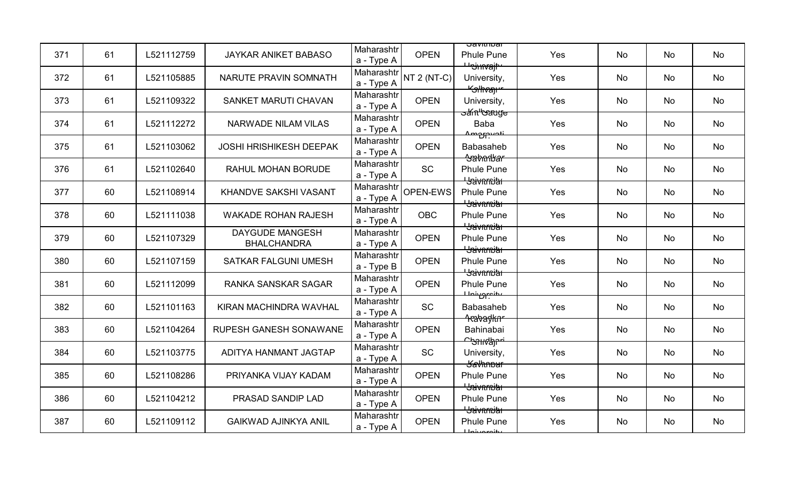| 371 | 61 | L521112759 | JAYKAR ANIKET BABASO                         | Maharashtr<br>a - Type A | <b>OPEN</b>        | <u> Javitiivar</u><br><b>Phule Pune</b>                     | Yes | No        | No        | No |
|-----|----|------------|----------------------------------------------|--------------------------|--------------------|-------------------------------------------------------------|-----|-----------|-----------|----|
| 372 | 61 | L521105885 | NARUTE PRAVIN SOMNATH                        | Maharashtr<br>a - Type A | <b>NT 2 (NT-C)</b> | <del>Unimajh</del><br>University,                           | Yes | No        | No        | No |
| 373 | 61 | L521109322 | SANKET MARUTI CHAVAN                         | Maharashtr<br>a - Type A | <b>OPEN</b>        | <del>"Silhvan"</del><br>University,                         | Yes | No        | No        | No |
| 374 | 61 | L521112272 | NARWADE NILAM VILAS                          | Maharashtr<br>a - Type A | <b>OPEN</b>        | <del>ວzín''Gauge'</del><br><b>Baba</b>                      | Yes | <b>No</b> | <b>No</b> | No |
| 375 | 61 | L521103062 | <b>JOSHI HRISHIKESH DEEPAK</b>               | Maharashtr<br>a - Type A | <b>OPEN</b>        | <u>Amprovati</u><br><b>Babasaheb</b><br><del>Sabarbar</del> | Yes | No        | No        | No |
| 376 | 61 | L521102640 | RAHUL MOHAN BORUDE                           | Maharashtr<br>a - Type A | <b>SC</b>          | Phule Pune<br><del>Usivarniar</del>                         | Yes | No        | No        | No |
| 377 | 60 | L521108914 | KHANDVE SAKSHI VASANT                        | Maharashtr<br>a - Type A | OPEN-EWS           | <b>Phule Pune</b><br><del>' Jaivnrniar</del>                | Yes | No        | No        | No |
| 378 | 60 | L521111038 | <b>WAKADE ROHAN RAJESH</b>                   | Maharashtr<br>a - Type A | <b>OBC</b>         | <b>Phule Pune</b><br><b>Havarnia</b>                        | Yes | No        | No        | No |
| 379 | 60 | L521107329 | <b>DAYGUDE MANGESH</b><br><b>BHALCHANDRA</b> | Maharashtr<br>a - Type A | <b>OPEN</b>        | <b>Phule Pune</b><br><del>' Jaivnrniar</del>                | Yes | No        | No        | No |
| 380 | 60 | L521107159 | <b>SATKAR FALGUNI UMESH</b>                  | Maharashtr<br>a - Type B | <b>OPEN</b>        | <b>Phule Pune</b><br><del>' Jaivarniar</del>                | Yes | No        | No        | No |
| 381 | 60 | L521112099 | <b>RANKA SANSKAR SAGAR</b>                   | Maharashtr<br>a - Type A | <b>OPEN</b>        | <b>Phule Pune</b><br>ببانتينها                              | Yes | No        | No        | No |
| 382 | 60 | L521101163 | KIRAN MACHINDRA WAVHAL                       | Maharashtr<br>a - Type A | <b>SC</b>          | Babasaheb                                                   | Yes | No        | No        | No |
| 383 | 60 | L521104264 | RUPESH GANESH SONAWANE                       | Maharashtr<br>a - Type A | <b>OPEN</b>        | <del>1 rabaykn</del><br>Bahinabai<br>ᠳᡐᡰᡰᠰᠲᡰᢑᢩ              | Yes | No        | No        | No |
| 384 | 60 | L521103775 | ADITYA HANMANT JAGTAP                        | Maharashtr<br>a - Type A | SC                 | University,<br><b>Kavhnpur</b>                              | Yes | No        | No        | No |
| 385 | 60 | L521108286 | PRIYANKA VIJAY KADAM                         | Maharashtr<br>a - Type A | <b>OPEN</b>        | <b>Phule Pune</b><br><b>L</b> yavarniar                     | Yes | No        | No        | No |
| 386 | 60 | L521104212 | PRASAD SANDIP LAD                            | Maharashtr<br>a - Type A | <b>OPEN</b>        | <b>Phule Pune</b><br><del>'Jaivarniar</del>                 | Yes | No        | No        | No |
| 387 | 60 | L521109112 | <b>GAIKWAD AJINKYA ANIL</b>                  | Maharashtr<br>a - Type A | <b>OPEN</b>        | <b>Phule Pune</b><br>بانمع مبرنا ملك                        | Yes | No        | No        | No |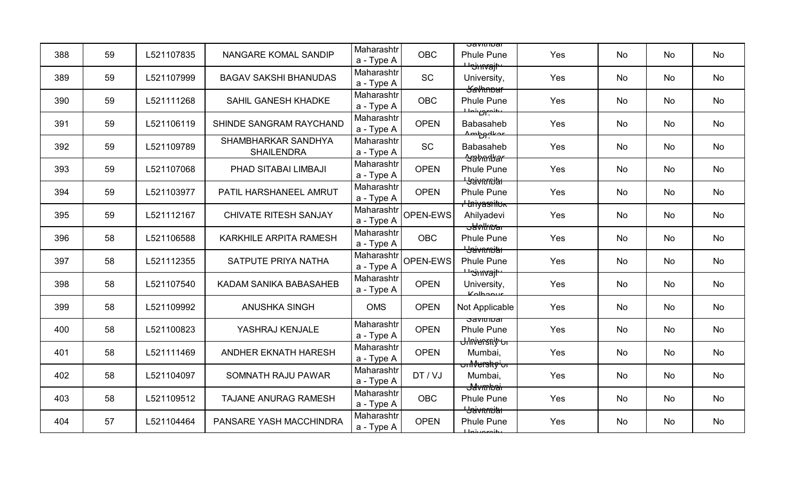| 388 | 59 | L521107835 | NANGARE KOMAL SANDIP                     | Maharashtr<br>a - Type A | <b>OBC</b>      | <u> Javitiivar</u><br><b>Phule Pune</b>                           | Yes | No        | No | No |
|-----|----|------------|------------------------------------------|--------------------------|-----------------|-------------------------------------------------------------------|-----|-----------|----|----|
| 389 | 59 | L521107999 | <b>BAGAV SAKSHI BHANUDAS</b>             | Maharashtr<br>a - Type A | <b>SC</b>       | <del>⊔י) אוי</del><br>University,<br><del>Savhnbur</del>          | Yes | No        | No | No |
| 390 | 59 | L521111268 | SAHIL GANESH KHADKE                      | Maharashtr<br>a - Type A | <b>OBC</b>      | <b>Phule Pune</b><br>ىى <del>ل</del> نە <del>بىرى نىملىك</del>    | Yes | No        | No | No |
| 391 | 59 | L521106119 | <b>SHINDE SANGRAM RAYCHAND</b>           | Maharashtr<br>a - Type A | <b>OPEN</b>     | <b>Babasaheb</b><br><u>Ambadkor</u>                               | Yes | <b>No</b> | No | No |
| 392 | 59 | L521109789 | SHAMBHARKAR SANDHYA<br><b>SHAILENDRA</b> | Maharashtr<br>a - Type A | <b>SC</b>       | <b>Babasaheb</b><br><del>Aabarbar</del>                           | Yes | <b>No</b> | No | No |
| 393 | 59 | L521107068 | PHAD SITABAI LIMBAJI                     | Maharashtr<br>a - Type A | <b>OPEN</b>     | <b>Phule Pune</b><br><del>' Jaivarniar</del>                      | Yes | No        | No | No |
| 394 | 59 | L521103977 | PATIL HARSHANEEL AMRUT                   | Maharashtr<br>a - Type A | <b>OPEN</b>     | <b>Phule Pune</b><br><del>I Iniyasnituk</del>                     | Yes | No        | No | No |
| 395 | 59 | L521112167 | <b>CHIVATE RITESH SANJAY</b>             | Maharashtr<br>a - Type A | <b>OPEN-EWS</b> | Ahilyadevi<br><del>sawlkna s</del>                                | Yes | No        | No | No |
| 396 | 58 | L521106588 | KARKHILE ARPITA RAMESH                   | Maharashtr<br>a - Type A | <b>OBC</b>      | <b>Phule Pune</b><br><del>' Jaivnmiar</del>                       | Yes | <b>No</b> | No | No |
| 397 | 58 | L521112355 | SATPUTE PRIYA NATHA                      | Maharashtr<br>a - Type A | OPEN-EWS        | <b>Phule Pune</b><br><del><sup>பஞ்</sup> invajt</del>             | Yes | No        | No | No |
| 398 | 58 | L521107540 | KADAM SANIKA BABASAHEB                   | Maharashtr<br>a - Type A | <b>OPEN</b>     | University,<br>$K$ olhonur                                        | Yes | <b>No</b> | No | No |
| 399 | 58 | L521109992 | <b>ANUSHKA SINGH</b>                     | <b>OMS</b>               | <b>OPEN</b>     | Not Applicable                                                    | Yes | <b>No</b> | No | No |
| 400 | 58 | L521100823 | YASHRAJ KENJALE                          | Maharashtr<br>a - Type A | <b>OPEN</b>     | <u>ਤਰਯੁਧਾਰਕਾ</u><br><b>Phule Pune</b><br><del>Ulniersniț ur</del> | Yes | No        | No | No |
| 401 | 58 | L521111469 | ANDHER EKNATH HARESH                     | Maharashtr<br>a - Type A | <b>OPEN</b>     | Mumbai,<br><del>onM⊎rshç'or</del>                                 | Yes | No        | No | No |
| 402 | 58 | L521104097 | SOMNATH RAJU PAWAR                       | Maharashtr<br>a - Type A | DT / VJ         | Mumbai,<br><del>J4vmbai</del>                                     | Yes | <b>No</b> | No | No |
| 403 | 58 | L521109512 | TAJANE ANURAG RAMESH                     | Maharashtr<br>a - Type A | <b>OBC</b>      | <b>Phule Pune</b><br><del>Usivarnitar</del>                       | Yes | No        | No | No |
| 404 | 57 | L521104464 | PANSARE YASH MACCHINDRA                  | Maharashtr<br>a - Type A | <b>OPEN</b>     | <b>Phule Pune</b><br>للمعميشمل                                    | Yes | No        | No | No |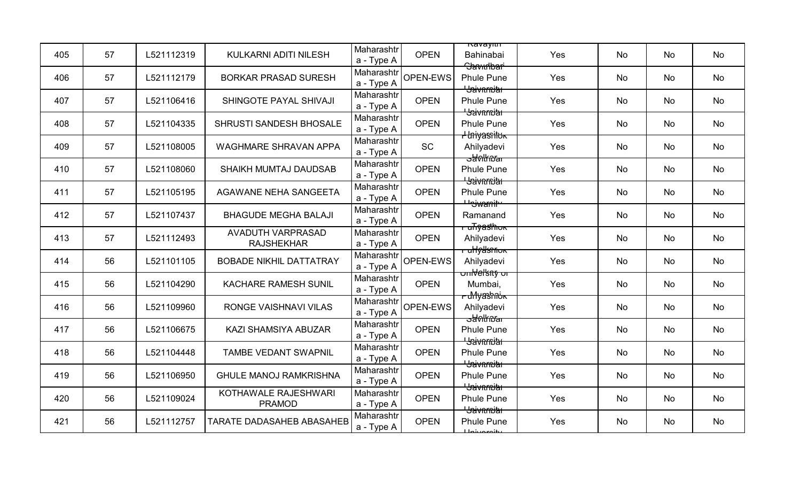| 405 | 57 | L521112319 | KULKARNI ADITI NILESH                  | Maharashtr<br>a - Type A | <b>OPEN</b>     | <u>navayım</u><br>Bahinabai<br>Savudbari                        | Yes | No        | No | No |
|-----|----|------------|----------------------------------------|--------------------------|-----------------|-----------------------------------------------------------------|-----|-----------|----|----|
| 406 | 57 | L521112179 | <b>BORKAR PRASAD SURESH</b>            | Maharashtr<br>a - Type A | OPEN-EWS        | <b>Phule Pune</b><br><b>L</b> sivarniar                         | Yes | No        | No | No |
| 407 | 57 | L521106416 | SHINGOTE PAYAL SHIVAJI                 | Maharashtr<br>a - Type A | <b>OPEN</b>     | <b>Phule Pune</b>                                               | Yes | No        | No | No |
| 408 | 57 | L521104335 | SHRUSTI SANDESH BHOSALE                | Maharashtr<br>a - Type A | <b>OPEN</b>     | <del>' Saivnrniar'</del><br><b>Phule Pune</b>                   | Yes | <b>No</b> | No | No |
| 409 | 57 | L521108005 | <b>WAGHMARE SHRAVAN APPA</b>           | Maharashtr<br>a - Type A | <b>SC</b>       | <del>I Iniyasnituk</del><br>Ahilyadevi<br><del>oldnlinnar</del> | Yes | No        | No | No |
| 410 | 57 | L521108060 | SHAIKH MUMTAJ DAUDSAB                  | Maharashtr<br>a - Type A | <b>OPEN</b>     | <b>Phule Pune</b><br><del>'Jaivnmiar</del>                      | Yes | No        | No | No |
| 411 | 57 | L521105195 | AGAWANE NEHA SANGEETA                  | Maharashtr<br>a - Type A | <b>OPEN</b>     | <b>Phule Pune</b><br>Lleiwanit                                  | Yes | No        | No | No |
| 412 | 57 | L521107437 | <b>BHAGUDE MEGHA BALAJI</b>            | Maharashtr<br>a - Type A | <b>OPEN</b>     | Ramanand<br><del>-uTiyasthok</del>                              | Yes | No        | No | No |
| 413 | 57 | L521112493 | AVADUTH VARPRASAD<br><b>RAJSHEKHAR</b> | Maharashtr<br>a - Type A | <b>OPEN</b>     | Ahilyadevi<br><del>ruHyllsniok</del>                            | Yes | No        | No | No |
| 414 | 56 | L521101105 | <b>BOBADE NIKHIL DATTATRAY</b>         | Maharashtr<br>a - Type A | <b>OPEN-EWS</b> | Ahilyadevi<br><del>onNel'sny or</del>                           | Yes | No        | No | No |
| 415 | 56 | L521104290 | <b>KACHARE RAMESH SUNIL</b>            | Maharashtr<br>a - Type A | <b>OPEN</b>     | Mumbai,<br><del>- uMyashის⊾</del>                               | Yes | No        | No | No |
| 416 | 56 | L521109960 | RONGE VAISHNAVI VILAS                  | Maharashtr<br>a - Type A | <b>OPEN-EWS</b> | Ahilyadevi<br><del>oldollínoar</del>                            | Yes | <b>No</b> | No | No |
| 417 | 56 | L521106675 | KAZI SHAMSIYA ABUZAR                   | Maharashtr<br>a - Type A | <b>OPEN</b>     | <b>Phule Pune</b><br><del>' Jaivarniar</del>                    | Yes | No        | No | No |
| 418 | 56 | L521104448 | <b>TAMBE VEDANT SWAPNIL</b>            | Maharashtr<br>a - Type A | <b>OPEN</b>     | <b>Phule Pune</b><br><b>L</b> Saivarnitar                       | Yes | No        | No | No |
| 419 | 56 | L521106950 | <b>GHULE MANOJ RAMKRISHNA</b>          | Maharashtr<br>a - Type A | <b>OPEN</b>     | <b>Phule Pune</b><br><del>'Jaivnmiar</del>                      | Yes | No        | No | No |
| 420 | 56 | L521109024 | KOTHAWALE RAJESHWARI<br><b>PRAMOD</b>  | Maharashtr<br>a - Type A | <b>OPEN</b>     | <b>Phule Pune</b><br><del>Usivarniar</del>                      | Yes | No        | No | No |
| 421 | 56 | L521112757 | <b>TARATE DADASAHEB ABASAHEB</b>       | Maharashtr<br>a - Type A | <b>OPEN</b>     | <b>Phule Pune</b><br>بانمريمين بالبا                            | Yes | No        | No | No |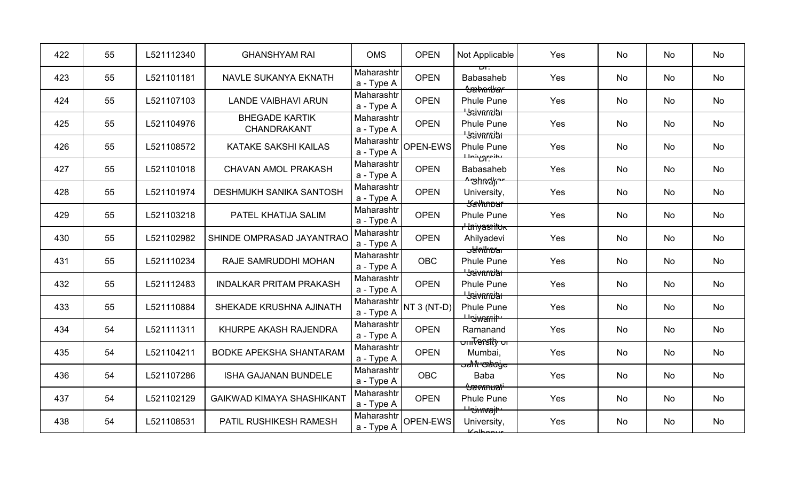| 422 | 55 | L521112340 | <b>GHANSHYAM RAI</b>                 | <b>OMS</b>               | <b>OPEN</b>   | Not Applicable                                  | Yes | No        | No | No |
|-----|----|------------|--------------------------------------|--------------------------|---------------|-------------------------------------------------|-----|-----------|----|----|
| 423 | 55 | L521101181 | NAVLE SUKANYA EKNATH                 | Maharashtr<br>a - Type A | <b>OPEN</b>   | στ.<br><b>Babasaheb</b><br><del>Sabanbar</del>  | Yes | No        | No | No |
| 424 | 55 | L521107103 | <b>LANDE VAIBHAVI ARUN</b>           | Maharashtr<br>a - Type A | <b>OPEN</b>   | <b>Phule Pune</b><br><b>Baivnmith</b>           | Yes | <b>No</b> | No | No |
| 425 | 55 | L521104976 | <b>BHEGADE KARTIK</b><br>CHANDRAKANT | Maharashtr<br>a - Type A | <b>OPEN</b>   | <b>Phule Pune</b><br><del>' Jaivarniar</del>    | Yes | <b>No</b> | No | No |
| 426 | 55 | L521108572 | KATAKE SAKSHI KAILAS                 | Maharashtr<br>a - Type A | OPEN-EWS      | <b>Phule Pune</b><br>حنصوم شملك                 | Yes | <b>No</b> | No | No |
| 427 | 55 | L521101018 | <b>CHAVAN AMOL PRAKASH</b>           | Maharashtr<br>a - Type A | <b>OPEN</b>   | <b>Babasaheb</b><br><del>^უhndk</del> ~         | Yes | No        | No | No |
| 428 | 55 | L521101974 | <b>DESHMUKH SANIKA SANTOSH</b>       | Maharashtr<br>a - Type A | <b>OPEN</b>   | University,<br><del>Savhnbur</del>              | Yes | No        | No | No |
| 429 | 55 | L521103218 | PATEL KHATIJA SALIM                  | Maharashtr<br>a - Type A | <b>OPEN</b>   | <b>Phule Pune</b><br><del>I Iniyasılluk</del>   | Yes | <b>No</b> | No | No |
| 430 | 55 | L521102982 | SHINDE OMPRASAD JAYANTRAO            | Maharashtr<br>a - Type A | <b>OPEN</b>   | Ahilyadevi<br><del>sawlkupar</del>              | Yes | No        | No | No |
| 431 | 55 | L521110234 | RAJE SAMRUDDHI MOHAN                 | Maharashtr<br>a - Type A | <b>OBC</b>    | <b>Phule Pune</b><br><b>Hation Hat</b>          | Yes | No        | No | No |
| 432 | 55 | L521112483 | <b>INDALKAR PRITAM PRAKASH</b>       | Maharashtr<br>a - Type A | <b>OPEN</b>   | <b>Phule Pune</b><br><b>L</b> Saivarnitat       | Yes | <b>No</b> | No | No |
| 433 | 55 | L521110884 | SHEKADE KRUSHNA AJINATH              | Maharashtr<br>a - Type A | $NT 3 (NT-D)$ | <b>Phule Pune</b><br><del>''Swanit</del>        | Yes | <b>No</b> | No | No |
| 434 | 54 | L521111311 | KHURPE AKASH RAJENDRA                | Maharashtr<br>a - Type A | <b>OPEN</b>   | Ramanand<br><del>onī<sup>t</sup>erstly or</del> | Yes | No        | No | No |
| 435 | 54 | L521104211 | <b>BODKE APEKSHA SHANTARAM</b>       | Maharashtr<br>a - Type A | <b>OPEN</b>   | Mumbai,<br><del>ਤaੀ1ਿ ଓaਰੋ ਕੁਰਾਂ</del>          | Yes | No        | No | No |
| 436 | 54 | L521107286 | <b>ISHA GAJANAN BUNDELE</b>          | Maharashtr<br>a - Type A | <b>OBC</b>    | <b>Baba</b><br><del>Savmuali</del>              | Yes | <b>No</b> | No | No |
| 437 | 54 | L521102129 | <b>GAIKWAD KIMAYA SHASHIKANT</b>     | Maharashtr<br>a - Type A | <b>OPEN</b>   | <b>Phule Pune</b><br><del>Usinvajt</del>        | Yes | No        | No | No |
| 438 | 54 | L521108531 | PATIL RUSHIKESH RAMESH               | Maharashtr<br>a - Type A | OPEN-EWS      | University,<br>Kolbonur                         | Yes | No        | No | No |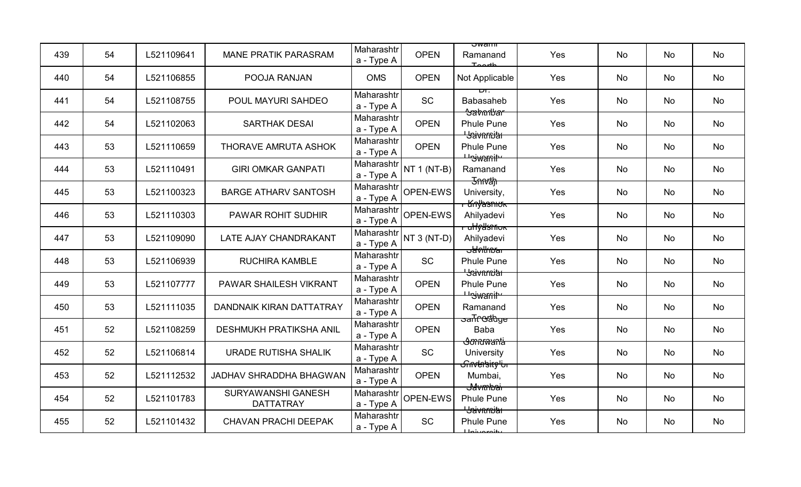| 439 | 54 | L521109641 | <b>MANE PRATIK PARASRAM</b>            | Maharashtr<br>a - Type A | <b>OPEN</b>   | ਹwam⊫<br>Ramanand<br>$T$ oorth                             | Yes | No        | <b>No</b> | No |
|-----|----|------------|----------------------------------------|--------------------------|---------------|------------------------------------------------------------|-----|-----------|-----------|----|
| 440 | 54 | L521106855 | POOJA RANJAN                           | <b>OMS</b>               | <b>OPEN</b>   | Not Applicable                                             | Yes | No        | No        | No |
| 441 | 54 | L521108755 | POUL MAYURI SAHDEO                     | Maharashtr<br>a - Type A | SC            | ᠇᠇<br><b>Babasaheb</b>                                     | Yes | <b>No</b> | No        | No |
| 442 | 54 | L521102063 | <b>SARTHAK DESAI</b>                   | Maharashtr<br>a - Type A | <b>OPEN</b>   | <del>Sabarlyar</del><br><b>Phule Pune</b>                  | Yes | <b>No</b> | <b>No</b> | No |
| 443 | 53 | L521110659 | THORAVE AMRUTA ASHOK                   | Maharashtr<br>a - Type A | <b>OPEN</b>   | <del>' Jaivnrniar</del><br><b>Phule Pune</b>               | Yes | No        | No        | No |
| 444 | 53 | L521110491 | <b>GIRI OMKAR GANPATI</b>              | Maharashtr<br>a - Type A | NT $1$ (NT-B) | <del>Uniwanit</del><br>Ramanand                            | Yes | No        | No        | No |
| 445 | 53 | L521100323 | <b>BARGE ATHARV SANTOSH</b>            | Maharashtr<br>a - Type A | OPEN-EWS      | <del>Jnnah</del><br>University,                            | Yes | No        | No        | No |
| 446 | 53 | L521110303 | PAWAR ROHIT SUDHIR                     | Maharashtr<br>a - Type A | OPEN-EWS      | <del>r Knyasnıok</del><br>Ahilyadevi                       | Yes | No        | No        | No |
| 447 | 53 | L521109090 | LATE AJAY CHANDRAKANT                  | Maharashtr<br>a - Type A | NT $3(NT-D)$  | <del>ullyllsniok</del><br>Ahilyadevi<br><del>obolkna</del> | Yes | No        | <b>No</b> | No |
| 448 | 53 | L521106939 | <b>RUCHIRA KAMBLE</b>                  | Maharashtr<br>a - Type A | <b>SC</b>     | <b>Phule Pune</b><br><b>L</b> yavarniar                    | Yes | No        | No        | No |
| 449 | 53 | L521107777 | PAWAR SHAILESH VIKRANT                 | Maharashtr<br>a - Type A | <b>OPEN</b>   | <b>Phule Pune</b><br><del>Uniwanih</del>                   | Yes | No        | No        | No |
| 450 | 53 | L521111035 | <b>DANDNAIK KIRAN DATTATRAY</b>        | Maharashtr<br>a - Type A | <b>OPEN</b>   | Ramanand                                                   | Yes | No        | No        | No |
| 451 | 52 | L521108259 | <b>DESHMUKH PRATIKSHA ANIL</b>         | Maharashtr<br>a - Type A | <b>OPEN</b>   | <del>ਤanTcGatdge</del><br>Baba                             | Yes | No        | No        | No |
| 452 | 52 | L521106814 | URADE RUTISHA SHALIK                   | Maharashtr<br>a - Type A | <b>SC</b>     | <del>stondwantia</del><br>University                       | Yes | No        | No        | No |
| 453 | 52 | L521112532 | JADHAV SHRADDHA BHAGWAN                | Maharashtr<br>a - Type A | <b>OPEN</b>   | <del>ॴऀॴ</del> क़क़<br>Mumbai,<br><del>J4vmbai</del>       | Yes | No        | No        | No |
| 454 | 52 | L521101783 | SURYAWANSHI GANESH<br><b>DATTATRAY</b> | Maharashtr<br>a - Type A | OPEN-EWS      | <b>Phule Pune</b><br><b>L</b> yavarniar                    | Yes | No        | No        | No |
| 455 | 52 | L521101432 | <b>CHAVAN PRACHI DEEPAK</b>            | Maharashtr<br>a - Type A | <b>SC</b>     | <b>Phule Pune</b><br>يغنمعه ببناط                          | Yes | No        | No        | No |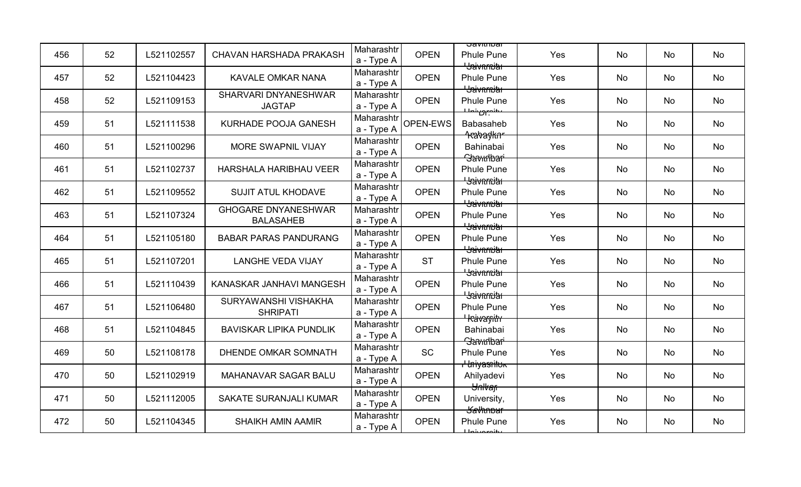| 456 | 52 | L521102557 | <b>CHAVAN HARSHADA PRAKASH</b>                 | Maharashtr<br>a - Type A | <b>OPEN</b>     | <u> Javitiivar</u><br><b>Phule Pune</b><br><del>' Jaivnrniar</del> | Yes | <b>No</b> | No | No |
|-----|----|------------|------------------------------------------------|--------------------------|-----------------|--------------------------------------------------------------------|-----|-----------|----|----|
| 457 | 52 | L521104423 | KAVALE OMKAR NANA                              | Maharashtr<br>a - Type A | <b>OPEN</b>     | <b>Phule Pune</b><br><b>Baivnmith</b>                              | Yes | No        | No | No |
| 458 | 52 | L521109153 | SHARVARI DNYANESHWAR<br><b>JAGTAP</b>          | Maharashtr<br>a - Type A | <b>OPEN</b>     | <b>Phule Pune</b><br>عطنصور بنصلك                                  | Yes | No        | No | No |
| 459 | 51 | L521111538 | KURHADE POOJA GANESH                           | Maharashtr<br>a - Type A | <b>OPEN-EWS</b> | <b>Babasaheb</b>                                                   | Yes | <b>No</b> | No | No |
| 460 | 51 | L521100296 | MORE SWAPNIL VIJAY                             | Maharashtr<br>a - Type A | <b>OPEN</b>     | <del>1.abaylinr</del><br>Bahinabai<br><b>Slavudbar</b>             | Yes | <b>No</b> | No | No |
| 461 | 51 | L521102737 | HARSHALA HARIBHAU VEER                         | Maharashtr<br>a - Type A | <b>OPEN</b>     | <b>Phule Pune</b><br><del>' Jaivarniar</del>                       | Yes | No        | No | No |
| 462 | 51 | L521109552 | <b>SUJIT ATUL KHODAVE</b>                      | Maharashtr<br>a - Type A | <b>OPEN</b>     | <b>Phule Pune</b><br><del>' Jaivarniar</del>                       | Yes | No        | No | No |
| 463 | 51 | L521107324 | <b>GHOGARE DNYANESHWAR</b><br><b>BALASAHEB</b> | Maharashtr<br>a - Type A | <b>OPEN</b>     | <b>Phule Pune</b><br><del>' Jaivnmiar</del>                        | Yes | No        | No | No |
| 464 | 51 | L521105180 | <b>BABAR PARAS PANDURANG</b>                   | Maharashtr<br>a - Type A | <b>OPEN</b>     | <b>Phule Pune</b><br><del>' Jaivnmiar</del>                        | Yes | <b>No</b> | No | No |
| 465 | 51 | L521107201 | <b>LANGHE VEDA VIJAY</b>                       | Maharashtr<br>a - Type A | <b>ST</b>       | <b>Phule Pune</b><br><b>Haivarnith</b>                             | Yes | <b>No</b> | No | No |
| 466 | 51 | L521110439 | KANASKAR JANHAVI MANGESH                       | Maharashtr<br>a - Type A | <b>OPEN</b>     | <b>Phule Pune</b><br><b>Havarnia</b>                               | Yes | No        | No | No |
| 467 | 51 | L521106480 | SURYAWANSHI VISHAKHA<br><b>SHRIPATI</b>        | Maharashtr<br>a - Type A | <b>OPEN</b>     | <b>Phule Pune</b>                                                  | Yes | No        | No | No |
| 468 | 51 | L521104845 | <b>BAVISKAR LIPIKA PUNDLIK</b>                 | Maharashtr<br>a - Type A | <b>OPEN</b>     | <del>' kävargitir</del><br>Bahinabai<br>Savudbari                  | Yes | No        | No | No |
| 469 | 50 | L521108178 | <b>DHENDE OMKAR SOMNATH</b>                    | Maharashtr<br>a - Type A | <b>SC</b>       | <b>Phule Pune</b><br><del>I Iniyasnituk</del>                      | Yes | No        | No | No |
| 470 | 50 | L521102919 | MAHANAVAR SAGAR BALU                           | Maharashtr<br>a - Type A | <b>OPEN</b>     | Ahilyadevi<br><del>Unlvan</del>                                    | Yes | <b>No</b> | No | No |
| 471 | 50 | L521112005 | <b>SAKATE SURANJALI KUMAR</b>                  | Maharashtr<br>a - Type A | <b>OPEN</b>     | University,<br><del>Kavhnbur</del>                                 | Yes | No        | No | No |
| 472 | 50 | L521104345 | <b>SHAIKH AMIN AAMIR</b>                       | Maharashtr<br>a - Type A | <b>OPEN</b>     | <b>Phule Pune</b><br><b>Injuaraity</b>                             | Yes | <b>No</b> | No | No |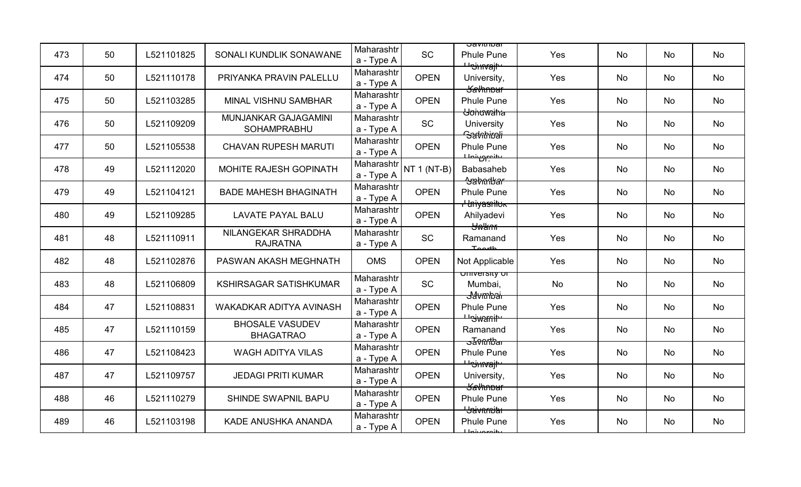| 473 | 50 | L521101825 | SONALI KUNDLIK SONAWANE                    | Maharashtr<br>a - Type A | <b>SC</b>     | <u> Javitiivar</u><br><b>Phule Pune</b>                    | Yes | <b>No</b> | No | No |
|-----|----|------------|--------------------------------------------|--------------------------|---------------|------------------------------------------------------------|-----|-----------|----|----|
| 474 | 50 | L521110178 | PRIYANKA PRAVIN PALELLU                    | Maharashtr<br>a - Type A | <b>OPEN</b>   | <del>⊔י) אוי</del><br>University,<br><b>Kavhnbur</b>       | Yes | No        | No | No |
| 475 | 50 | L521103285 | MINAL VISHNU SAMBHAR                       | Maharashtr<br>a - Type A | <b>OPEN</b>   | <b>Phule Pune</b>                                          | Yes | No        | No | No |
| 476 | 50 | L521109209 | MUNJANKAR GAJAGAMINI<br><b>SOHAMPRABHU</b> | Maharashtr<br>a - Type A | <b>SC</b>     | <del>Uohuwaiha</del><br>University<br><del>Samhirali</del> | Yes | <b>No</b> | No | No |
| 477 | 50 | L521105538 | <b>CHAVAN RUPESH MARUTI</b>                | Maharashtr<br>a - Type A | <b>OPEN</b>   | <b>Phule Pune</b><br>ىئىمىرەنمىل                           | Yes | <b>No</b> | No | No |
| 478 | 49 | L521112020 | MOHITE RAJESH GOPINATH                     | Maharashtr<br>a - Type A | NT $1$ (NT-B) | <b>Babasaheb</b><br><del>Sabarlkar</del>                   | Yes | No        | No | No |
| 479 | 49 | L521104121 | <b>BADE MAHESH BHAGINATH</b>               | Maharashtr<br>a - Type A | <b>OPEN</b>   | <b>Phule Pune</b><br><del>I Iniyasnituk</del>              | Yes | No        | No | No |
| 480 | 49 | L521109285 | <b>LAVATE PAYAL BALU</b>                   | Maharashtr<br>a - Type A | <b>OPEN</b>   | Ahilyadevi<br><b>Swlimm</b>                                | Yes | No        | No | No |
| 481 | 48 | L521110911 | NILANGEKAR SHRADDHA<br><b>RAJRATNA</b>     | Maharashtr<br>a - Type A | <b>SC</b>     | Ramanand<br>Toorth                                         | Yes | <b>No</b> | No | No |
| 482 | 48 | L521102876 | PASWAN AKASH MEGHNATH                      | <b>OMS</b>               | <b>OPEN</b>   | Not Applicable                                             | Yes | <b>No</b> | No | No |
| 483 | 48 | L521106809 | KSHIRSAGAR SATISHKUMAR                     | Maharashtr<br>a - Type A | <b>SC</b>     | <del>omversity or</del><br>Mumbai,<br><del>Javmbai</del>   | No  | <b>No</b> | No | No |
| 484 | 47 | L521108831 | <b>WAKADKAR ADITYA AVINASH</b>             | Maharashtr<br>a - Type A | <b>OPEN</b>   | <b>Phule Pune</b><br><del>Lleiwanit</del>                  | Yes | <b>No</b> | No | No |
| 485 | 47 | L521110159 | <b>BHOSALE VASUDEV</b><br><b>BHAGATRAO</b> | Maharashtr<br>a - Type A | <b>OPEN</b>   | Ramanand<br><del>ਤਰγnntbar</del>                           | Yes | No        | No | No |
| 486 | 47 | L521108423 | <b>WAGH ADITYA VILAS</b>                   | Maharashtr<br>a - Type A | <b>OPEN</b>   | <b>Phule Pune</b><br><del>' ''Shrvajt'</del>               | Yes | No        | No | No |
| 487 | 47 | L521109757 | <b>JEDAGI PRITI KUMAR</b>                  | Maharashtr<br>a - Type A | <b>OPEN</b>   | University,<br><del>Savhnbur</del>                         | Yes | <b>No</b> | No | No |
| 488 | 46 | L521110279 | SHINDE SWAPNIL BAPU                        | Maharashtr<br>a - Type A | <b>OPEN</b>   | <b>Phule Pune</b><br><del>Usivarnitar</del>                | Yes | No        | No | No |
| 489 | 46 | L521103198 | KADE ANUSHKA ANANDA                        | Maharashtr<br>a - Type A | <b>OPEN</b>   | <b>Phule Pune</b><br>يغنمعه بنمليا                         | Yes | <b>No</b> | No | No |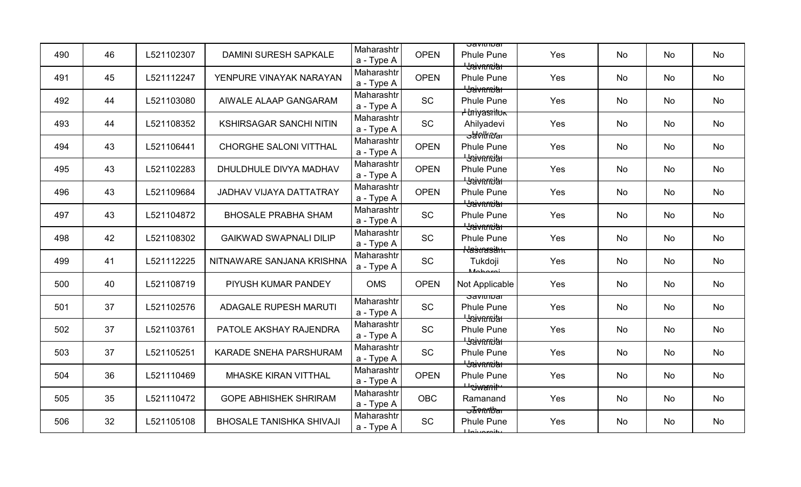| 490 | 46 | L521102307 | <b>DAMINI SURESH SAPKALE</b>    | Maharashtr<br>a - Type A | <b>OPEN</b> | ਹਰvππυਗ<br><b>Phule Pune</b><br><del>' Jaivnrniar</del>             | Yes | <b>No</b> | No | No |
|-----|----|------------|---------------------------------|--------------------------|-------------|---------------------------------------------------------------------|-----|-----------|----|----|
| 491 | 45 | L521112247 | YENPURE VINAYAK NARAYAN         | Maharashtr<br>a - Type A | <b>OPEN</b> | <b>Phule Pune</b><br><b>Hation Hat</b>                              | Yes | No        | No | No |
| 492 | 44 | L521103080 | AIWALE ALAAP GANGARAM           | Maharashtr<br>a - Type A | <b>SC</b>   | <b>Phule Pune</b>                                                   | Yes | No        | No | No |
| 493 | 44 | L521108352 | <b>KSHIRSAGAR SANCHI NITIN</b>  | Maharashtr<br>a - Type A | <b>SC</b>   | <del>I Iniyasılluk</del><br>Ahilyadevi                              | Yes | <b>No</b> | No | No |
| 494 | 43 | L521106441 | <b>CHORGHE SALONI VITTHAL</b>   | Maharashtr<br>a - Type A | <b>OPEN</b> | <del>sawlknar</del><br><b>Phule Pune</b><br><del>' Jaivarniar</del> | Yes | <b>No</b> | No | No |
| 495 | 43 | L521102283 | DHULDHULE DIVYA MADHAV          | Maharashtr<br>a - Type A | <b>OPEN</b> | <b>Phule Pune</b><br><del>' Jaivarniar</del>                        | Yes | No        | No | No |
| 496 | 43 | L521109684 | <b>JADHAV VIJAYA DATTATRAY</b>  | Maharashtr<br>a - Type A | <b>OPEN</b> | <b>Phule Pune</b><br><del>' Jaivnmiar</del>                         | Yes | <b>No</b> | No | No |
| 497 | 43 | L521104872 | <b>BHOSALE PRABHA SHAM</b>      | Maharashtr<br>a - Type A | <b>SC</b>   | <b>Phule Pune</b><br><del>' Jaivarniar</del>                        | Yes | No        | No | No |
| 498 | 42 | L521108302 | <b>GAIKWAD SWAPNALI DILIP</b>   | Maharashtr<br>a - Type A | <b>SC</b>   | <b>Phule Pune</b><br><del>Kasnasäm</del>                            | Yes | <b>No</b> | No | No |
| 499 | 41 | L521112225 | NITNAWARE SANJANA KRISHNA       | Maharashtr<br>a - Type A | <b>SC</b>   | Tukdoji<br><i>Moboroj</i>                                           | Yes | <b>No</b> | No | No |
| 500 | 40 | L521108719 | PIYUSH KUMAR PANDEY             | <b>OMS</b>               | <b>OPEN</b> | Not Applicable                                                      | Yes | <b>No</b> | No | No |
| 501 | 37 | L521102576 | <b>ADAGALE RUPESH MARUTI</b>    | Maharashtr<br>a - Type A | <b>SC</b>   | ਹavit⊓ivai<br><b>Phule Pune</b><br><del>' Jaivarniar</del>          | Yes | <b>No</b> | No | No |
| 502 | 37 | L521103761 | PATOLE AKSHAY RAJENDRA          | Maharashtr<br>a - Type A | SC          | <b>Phule Pune</b><br><del>' Jaivnrniar</del>                        | Yes | No        | No | No |
| 503 | 37 | L521105251 | <b>KARADE SNEHA PARSHURAM</b>   | Maharashtr<br>a - Type A | SC          | <b>Phule Pune</b><br><del>' Jaivarniar</del>                        | Yes | No        | No | No |
| 504 | 36 | L521110469 | <b>MHASKE KIRAN VITTHAL</b>     | Maharashtr<br>a - Type A | <b>OPEN</b> | <b>Phule Pune</b><br><del>Uniwanitu</del>                           | Yes | <b>No</b> | No | No |
| 505 | 35 | L521110472 | <b>GOPE ABHISHEK SHRIRAM</b>    | Maharashtr<br>a - Type A | <b>OBC</b>  | Ramanand<br><del>उ∄ଡ∩∩ਇaг</del>                                     | Yes | No        | No | No |
| 506 | 32 | L521105108 | <b>BHOSALE TANISHKA SHIVAJI</b> | Maharashtr<br>a - Type A | <b>SC</b>   | <b>Phule Pune</b><br><b>Johnsonity</b>                              | Yes | No        | No | No |